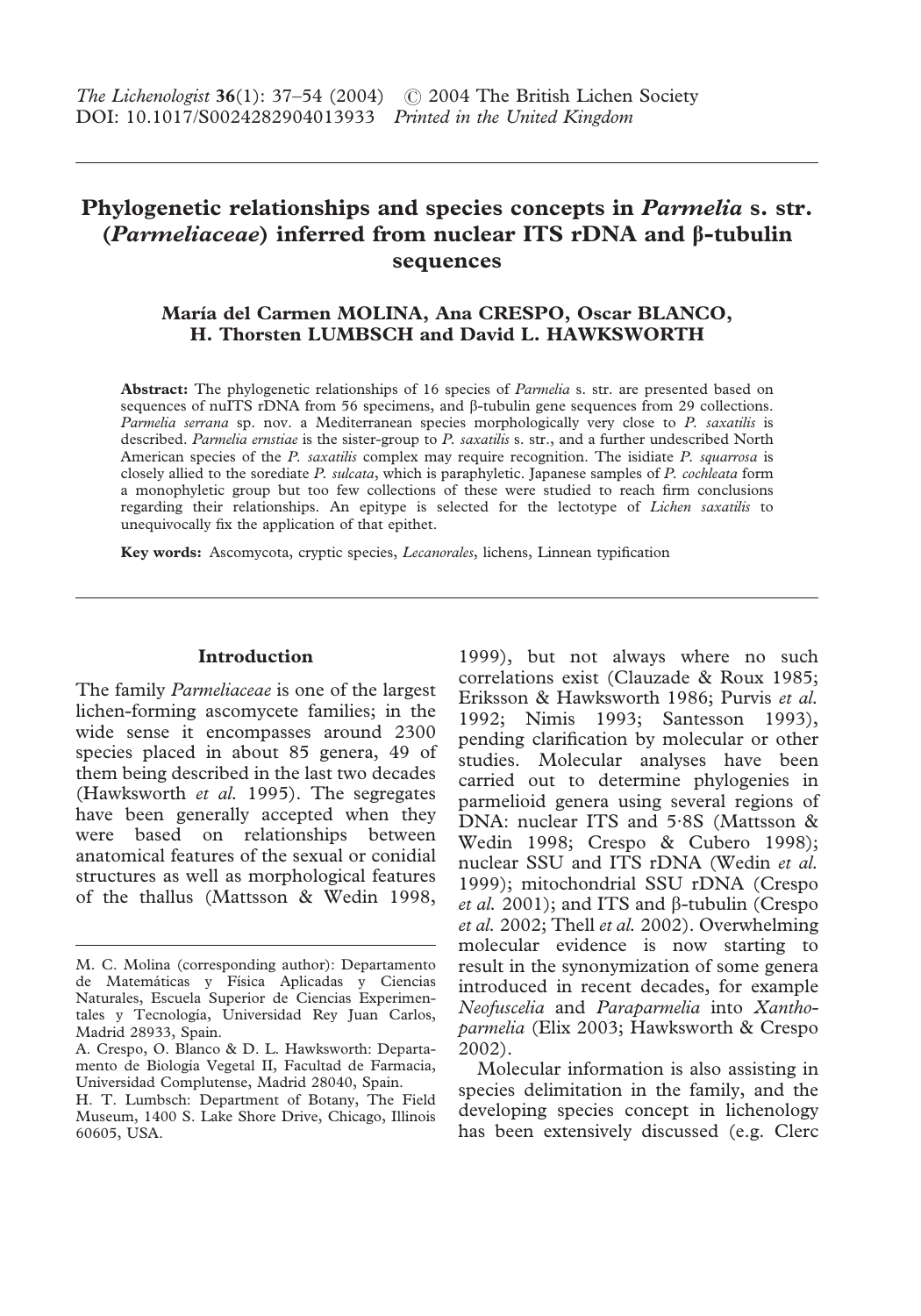# **Phylogenetic relationships and species concepts in** *Parmelia* **s. str.**  $(Parmeliaceae)$  inferred from nuclear ITS rDNA and  $\beta$ -tubulin **sequences**

# **María del Carmen MOLINA, Ana CRESPO, Oscar BLANCO, H. Thorsten LUMBSCH and David L. HAWKSWORTH**

**Abstract:** The phylogenetic relationships of 16 species of *Parmelia* s. str. are presented based on sequences of nuITS rDNA from 56 specimens, and  $\beta$ -tubulin gene sequences from 29 collections. *Parmelia serrana* sp. nov. a Mediterranean species morphologically very close to *P. saxatilis* is described. *Parmelia ernstiae* is the sister-group to *P. saxatilis* s. str., and a further undescribed North American species of the *P. saxatilis* complex may require recognition. The isidiate *P. squarrosa* is closely allied to the sorediate *P. sulcata*, which is paraphyletic. Japanese samples of *P. cochleata* form a monophyletic group but too few collections of these were studied to reach firm conclusions regarding their relationships. An epitype is selected for the lectotype of *Lichen saxatilis* to unequivocally fix the application of that epithet.

**Key words:** Ascomycota, cryptic species, *Lecanorales*, lichens, Linnean typification

## **Introduction**

The family *Parmeliaceae* is one of the largest lichen-forming ascomycete families; in the wide sense it encompasses around 2300 species placed in about 85 genera, 49 of them being described in the last two decades (Hawksworth *et al.* 1995). The segregates have been generally accepted when they were based on relationships between anatomical features of the sexual or conidial structures as well as morphological features of the thallus (Mattsson & Wedin 1998,

1999), but not always where no such correlations exist (Clauzade & Roux 1985; Eriksson & Hawksworth 1986; Purvis *et al.* 1992; Nimis 1993; Santesson 1993), pending clarification by molecular or other studies. Molecular analyses have been carried out to determine phylogenies in parmelioid genera using several regions of DNA: nuclear ITS and 5·8S (Mattsson & Wedin 1998; Crespo & Cubero 1998); nuclear SSU and ITS rDNA (Wedin *et al.* 1999); mitochondrial SSU rDNA (Crespo  $et$  al. 2001); and ITS and  $\beta$ -tubulin (Crespo *et al.* 2002; Thell *et al.* 2002). Overwhelming molecular evidence is now starting to result in the synonymization of some genera introduced in recent decades, for example *Neofuscelia* and *Paraparmelia* into *Xanthoparmelia* (Elix 2003; Hawksworth & Crespo 2002).

Molecular information is also assisting in species delimitation in the family, and the developing species concept in lichenology has been extensively discussed (e.g. Clerc

M. C. Molina (corresponding author): Departamento de Matemáticas y Física Aplicadas y Ciencias Naturales, Escuela Superior de Ciencias Experimentales y Tecnología, Universidad Rey Juan Carlos, Madrid 28933, Spain.

A. Crespo, O. Blanco & D. L. Hawksworth: Departamento de Biología Vegetal II, Facultad de Farmacia, Universidad Complutense, Madrid 28040, Spain.

H. T. Lumbsch: Department of Botany, The Field Museum, 1400 S. Lake Shore Drive, Chicago, Illinois 60605, USA.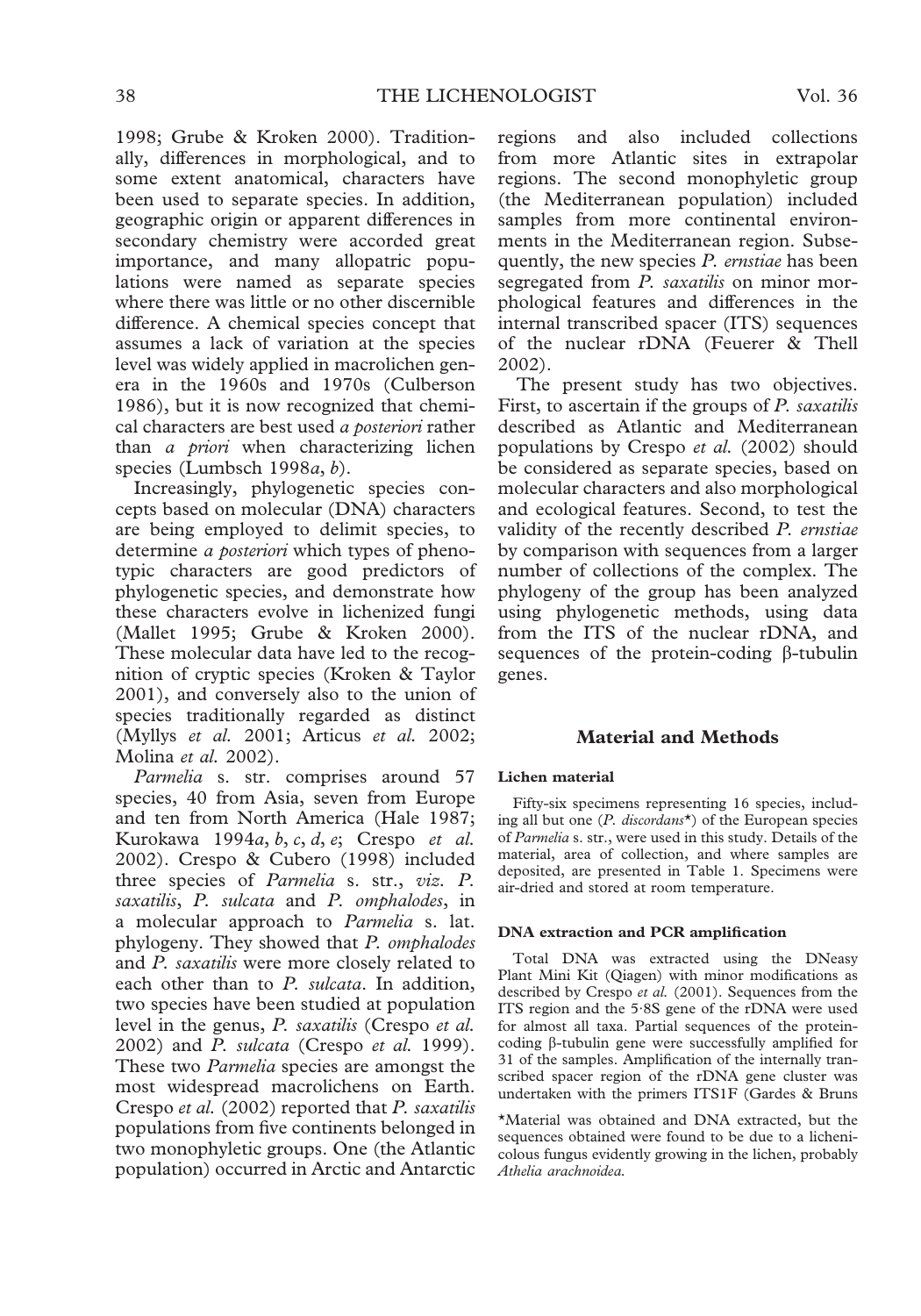1998; Grube & Kroken 2000). Traditionally, differences in morphological, and to some extent anatomical, characters have been used to separate species. In addition, geographic origin or apparent differences in secondary chemistry were accorded great importance, and many allopatric populations were named as separate species where there was little or no other discernible difference. A chemical species concept that assumes a lack of variation at the species level was widely applied in macrolichen genera in the 1960s and 1970s (Culberson 1986), but it is now recognized that chemical characters are best used *a posteriori* rather than *a priori* when characterizing lichen species (Lumbsch 1998*a*, *b*).

Increasingly, phylogenetic species concepts based on molecular (DNA) characters are being employed to delimit species, to determine *a posteriori* which types of phenotypic characters are good predictors of phylogenetic species, and demonstrate how these characters evolve in lichenized fungi (Mallet 1995; Grube & Kroken 2000). These molecular data have led to the recognition of cryptic species (Kroken & Taylor 2001), and conversely also to the union of species traditionally regarded as distinct (Myllys *et al.* 2001; Articus *et al.* 2002; Molina *et al.* 2002).

*Parmelia* s. str. comprises around 57 species, 40 from Asia, seven from Europe and ten from North America (Hale 1987; Kurokawa 1994*a*, *b*, *c*, *d*, *e*; Crespo *et al.* 2002). Crespo & Cubero (1998) included three species of *Parmelia* s. str., *viz. P. saxatilis*, *P. sulcata* and *P. omphalodes*, in a molecular approach to *Parmelia* s. lat. phylogeny. They showed that *P. omphalodes* and *P. saxatilis* were more closely related to each other than to *P. sulcata*. In addition, two species have been studied at population level in the genus, *P. saxatilis* (Crespo *et al.* 2002) and *P. sulcata* (Crespo *et al.* 1999). These two *Parmelia* species are amongst the most widespread macrolichens on Earth. Crespo *et al.* (2002) reported that *P. saxatilis* populations from five continents belonged in two monophyletic groups. One (the Atlantic population) occurred in Arctic and Antarctic regions and also included collections from more Atlantic sites in extrapolar regions. The second monophyletic group (the Mediterranean population) included samples from more continental environments in the Mediterranean region. Subsequently, the new species *P. ernstiae* has been segregated from *P. saxatilis* on minor morphological features and differences in the internal transcribed spacer (ITS) sequences of the nuclear rDNA (Feuerer & Thell 2002).

The present study has two objectives. First, to ascertain if the groups of *P. saxatilis* described as Atlantic and Mediterranean populations by Crespo *et al.* (2002) should be considered as separate species, based on molecular characters and also morphological and ecological features. Second, to test the validity of the recently described *P. ernstiae* by comparison with sequences from a larger number of collections of the complex. The phylogeny of the group has been analyzed using phylogenetic methods, using data from the ITS of the nuclear rDNA, and sequences of the protein-coding  $\beta$ -tubulin genes.

### **Material and Methods**

#### **Lichen material**

Fifty-six specimens representing 16 species, including all but one (*P. discordans*\*) of the European species of *Parmelia* s. str., were used in this study. Details of the material, area of collection, and where samples are deposited, are presented in Table 1. Specimens were air-dried and stored at room temperature.

#### **DNA extraction and PCR amplification**

Total DNA was extracted using the DNeasy Plant Mini Kit (Qiagen) with minor modifications as described by Crespo *et al.* (2001). Sequences from the ITS region and the 5·8S gene of the rDNA were used for almost all taxa. Partial sequences of the proteincoding  $\beta$ -tubulin gene were successfully amplified for 31 of the samples. Amplification of the internally transcribed spacer region of the rDNA gene cluster was undertaken with the primers ITS1F (Gardes & Bruns

\*Material was obtained and DNA extracted, but the sequences obtained were found to be due to a lichenicolous fungus evidently growing in the lichen, probably *Athelia arachnoidea.*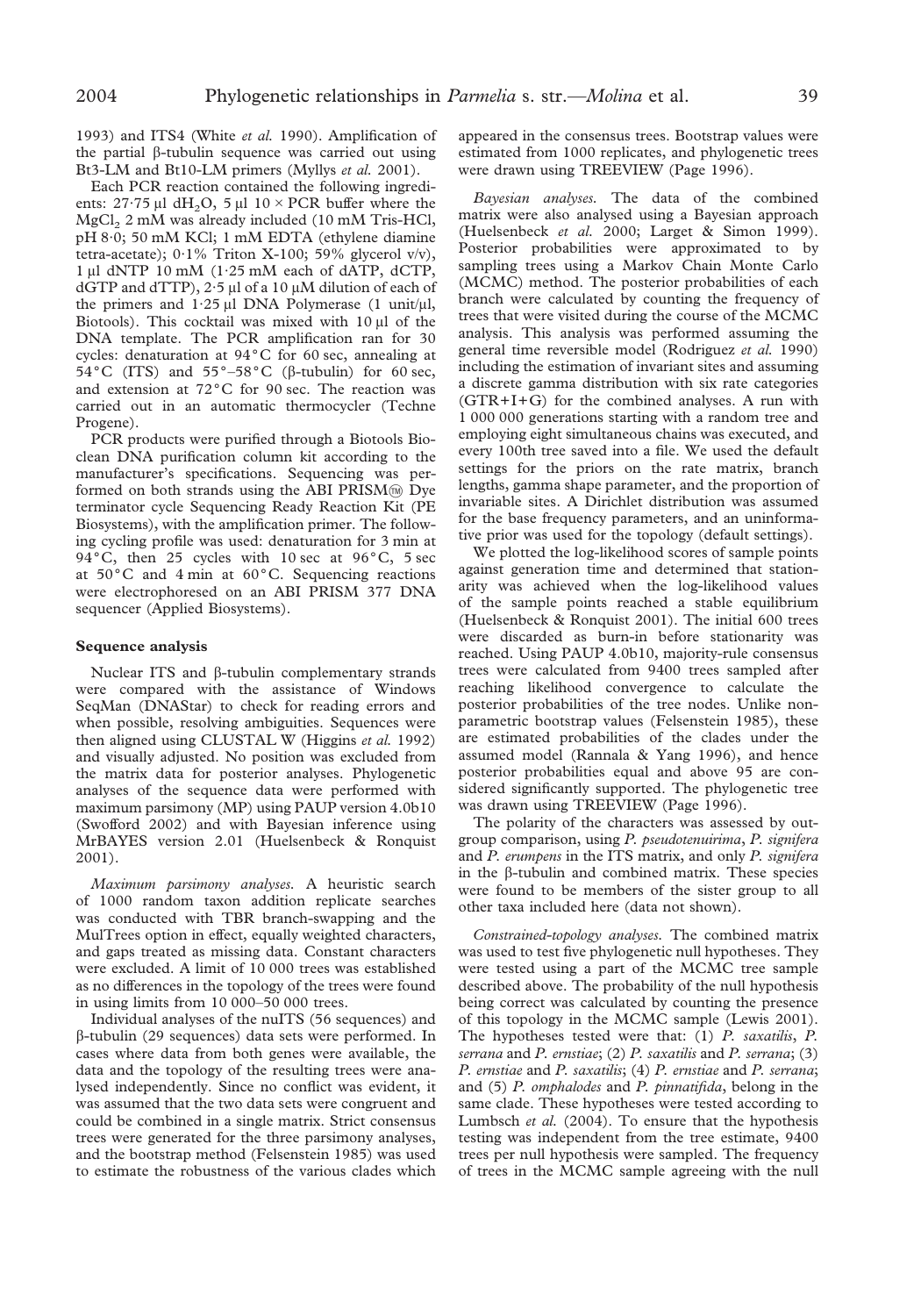1993) and ITS4 (White *et al.* 1990). Amplification of the partial  $\beta$ -tubulin sequence was carried out using Bt3-LM and Bt10-LM primers (Myllys *et al.* 2001).

Each PCR reaction contained the following ingredients:  $27.75 \mu l$  dH<sub>2</sub>O,  $5 \mu l$  10 × PCR buffer where the  $MgCl<sub>2</sub> 2 mM was already included (10 mM Tris-HCl,$ pH 8·0; 50 mM KCl; 1 mM EDTA (ethylene diamine tetra-acetate); 0·1% Triton X-100; 59% glycerol v/v), 1 µl dNTP 10 mM (1.25 mM each of dATP, dCTP, dGTP and dTTP), 2 $\cdot$ 5 µl of a 10 µM dilution of each of the primers and  $1.25 \mu l$  DNA Polymerase (1 unit/ $\mu l$ , Biotools). This cocktail was mixed with  $10 \mu l$  of the DNA template. The PCR amplification ran for 30 cycles: denaturation at  $94^{\circ}$ C for 60 sec, annealing at 54°C (ITS) and  $55^{\circ}$ -58°C ( $\beta$ -tubulin) for 60 sec, and extension at  $72^{\circ}$ C for 90 sec. The reaction was carried out in an automatic thermocycler (Techne Progene).

PCR products were purified through a Biotools Bioclean DNA purification column kit according to the manufacturer's specifications. Sequencing was performed on both strands using the ABI PRISM  $\mathbb{D}$  Dye terminator cycle Sequencing Ready Reaction Kit (PE Biosystems), with the amplification primer. The following cycling profile was used: denaturation for 3 min at 94°C, then 25 cycles with 10 sec at  $96^{\circ}$ C, 5 sec at  $50^{\circ}$ C and 4 min at  $60^{\circ}$ C. Sequencing reactions were electrophoresed on an ABI PRISM 377 DNA sequencer (Applied Biosystems).

### **Sequence analysis**

Nuclear ITS and  $\beta$ -tubulin complementary strands were compared with the assistance of Windows SeqMan (DNAStar) to check for reading errors and when possible, resolving ambiguities. Sequences were then aligned using CLUSTAL W (Higgins *et al.* 1992) and visually adjusted. No position was excluded from the matrix data for posterior analyses. Phylogenetic analyses of the sequence data were performed with maximum parsimony (MP) using PAUP version 4.0b10 (Swofford 2002) and with Bayesian inference using MrBAYES version 2.01 (Huelsenbeck & Ronquist 2001).

*Maximum parsimony analyses.* A heuristic search of 1000 random taxon addition replicate searches was conducted with TBR branch-swapping and the MulTrees option in effect, equally weighted characters, and gaps treated as missing data. Constant characters were excluded. A limit of 10 000 trees was established as no differences in the topology of the trees were found in using limits from 10 000–50 000 trees.

Individual analyses of the nuITS (56 sequences) and -tubulin (29 sequences) data sets were performed. In cases where data from both genes were available, the data and the topology of the resulting trees were analysed independently. Since no conflict was evident, it was assumed that the two data sets were congruent and could be combined in a single matrix. Strict consensus trees were generated for the three parsimony analyses, and the bootstrap method (Felsenstein 1985) was used to estimate the robustness of the various clades which appeared in the consensus trees. Bootstrap values were estimated from 1000 replicates, and phylogenetic trees were drawn using TREEVIEW (Page 1996).

*Bayesian analyses.* The data of the combined matrix were also analysed using a Bayesian approach (Huelsenbeck *et al.* 2000; Larget & Simon 1999). Posterior probabilities were approximated to by sampling trees using a Markov Chain Monte Carlo (MCMC) method. The posterior probabilities of each branch were calculated by counting the frequency of trees that were visited during the course of the MCMC analysis. This analysis was performed assuming the general time reversible model (Rodriguez *et al.* 1990) including the estimation of invariant sites and assuming a discrete gamma distribution with six rate categories (GTR+I+G) for the combined analyses. A run with 1 000 000 generations starting with a random tree and employing eight simultaneous chains was executed, and every 100th tree saved into a file. We used the default settings for the priors on the rate matrix, branch lengths, gamma shape parameter, and the proportion of invariable sites. A Dirichlet distribution was assumed for the base frequency parameters, and an uninformative prior was used for the topology (default settings).

We plotted the log-likelihood scores of sample points against generation time and determined that stationarity was achieved when the log-likelihood values of the sample points reached a stable equilibrium (Huelsenbeck & Ronquist 2001). The initial 600 trees were discarded as burn-in before stationarity was reached. Using PAUP 4.0b10, majority-rule consensus trees were calculated from 9400 trees sampled after reaching likelihood convergence to calculate the posterior probabilities of the tree nodes. Unlike nonparametric bootstrap values (Felsenstein 1985), these are estimated probabilities of the clades under the assumed model (Rannala & Yang 1996), and hence posterior probabilities equal and above 95 are considered significantly supported. The phylogenetic tree was drawn using TREEVIEW (Page 1996).

The polarity of the characters was assessed by outgroup comparison, using *P. pseudotenuirima*, *P. signifera* and *P. erumpens* in the ITS matrix, and only *P. signifera* in the  $\beta$ -tubulin and combined matrix. These species were found to be members of the sister group to all other taxa included here (data not shown).

*Constrained-topology analyses.* The combined matrix was used to test five phylogenetic null hypotheses. They were tested using a part of the MCMC tree sample described above. The probability of the null hypothesis being correct was calculated by counting the presence of this topology in the MCMC sample (Lewis 2001). The hypotheses tested were that: (1) *P. saxatilis*, *P. serrana* and *P. ernstiae*; (2) *P. saxatilis* and *P. serrana*; (3) *P. ernstiae* and *P. saxatilis*; (4) *P. ernstiae* and *P. serrana*; and (5) *P. omphalodes* and *P. pinnatifida*, belong in the same clade. These hypotheses were tested according to Lumbsch *et al.* (2004). To ensure that the hypothesis testing was independent from the tree estimate, 9400 trees per null hypothesis were sampled. The frequency of trees in the MCMC sample agreeing with the null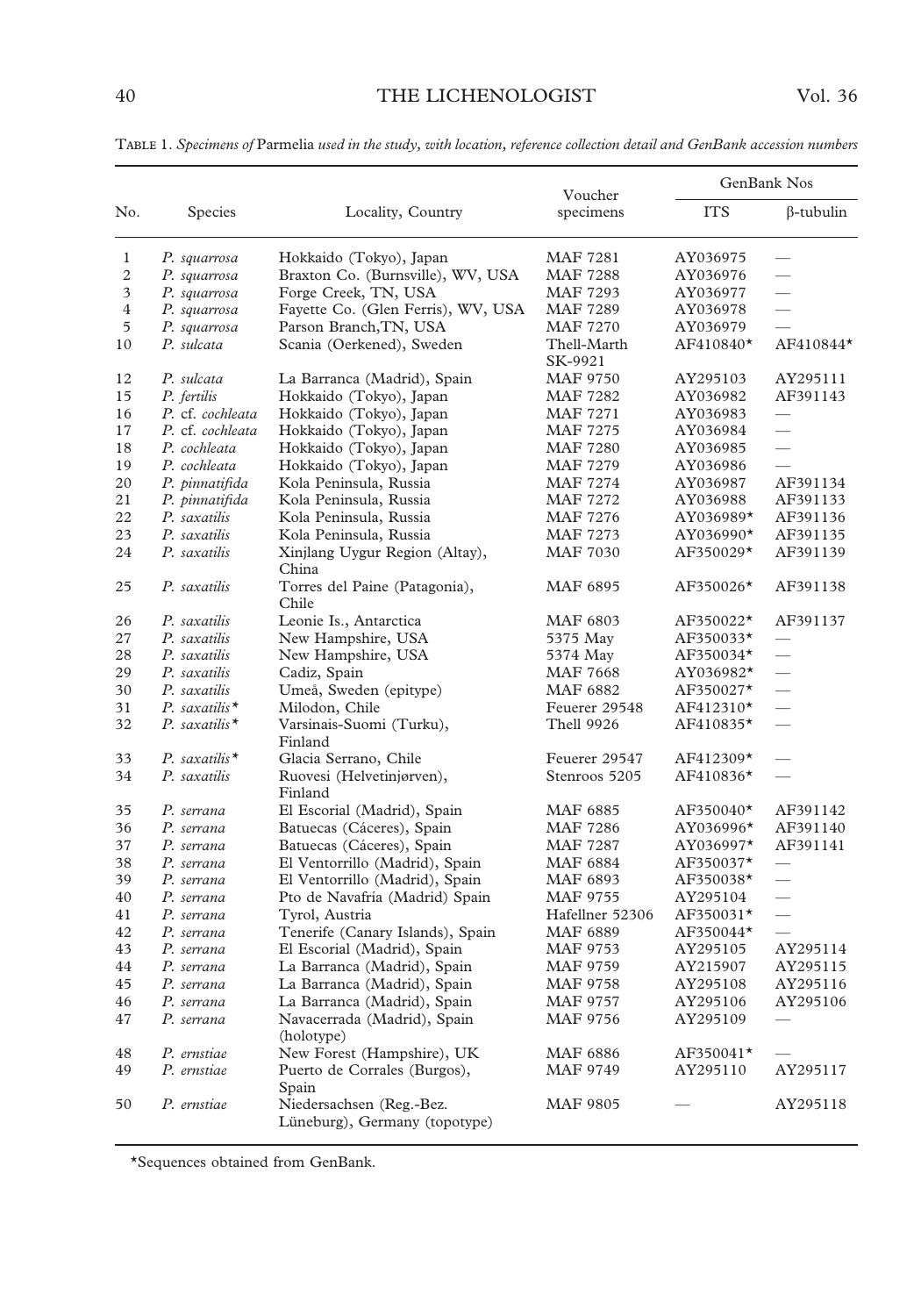|                |                           |                                                           | Voucher                | GenBank Nos |                          |
|----------------|---------------------------|-----------------------------------------------------------|------------------------|-------------|--------------------------|
| No.            | Species                   | Locality, Country                                         | specimens              | <b>ITS</b>  | $\beta$ -tubulin         |
| 1              | P. squarrosa              | Hokkaido (Tokyo), Japan                                   | MAF 7281               | AY036975    | $\overline{\phantom{0}}$ |
| 2              | P. squarrosa              | Braxton Co. (Burnsville), WV, USA                         | MAF 7288               | AY036976    |                          |
| 3              | P. squarrosa              | Forge Creek, TN, USA                                      | <b>MAF 7293</b>        | AY036977    | $\overline{\phantom{0}}$ |
| $\overline{4}$ | P. squarrosa              | Fayette Co. (Glen Ferris), WV, USA                        | MAF 7289               | AY036978    | $\overline{\phantom{0}}$ |
| 5              | P. squarrosa              | Parson Branch, TN, USA                                    | MAF 7270               | AY036979    |                          |
| 10             | P. sulcata                | Scania (Oerkened), Sweden                                 | Thell-Marth<br>SK-9921 | AF410840*   | AF410844*                |
| 12             | P. sulcata                | La Barranca (Madrid), Spain                               | MAF 9750               | AY295103    | AY295111                 |
| 15             | P. fertilis               | Hokkaido (Tokyo), Japan                                   | <b>MAF 7282</b>        | AY036982    | AF391143                 |
| 16             | P. cf. cochleata          | Hokkaido (Tokyo), Japan                                   | <b>MAF 7271</b>        | AY036983    |                          |
| 17             | P. cf. cochleata          | Hokkaido (Tokyo), Japan                                   | <b>MAF 7275</b>        | AY036984    | $\equiv$                 |
| 18             | P. cochleata              | Hokkaido (Tokyo), Japan                                   | <b>MAF 7280</b>        | AY036985    |                          |
| 19             | P. cochleata              | Hokkaido (Tokyo), Japan                                   | <b>MAF 7279</b>        | AY036986    | $\overline{\phantom{0}}$ |
| 20             | P. pinnatifida            | Kola Peninsula, Russia                                    | <b>MAF 7274</b>        | AY036987    | AF391134                 |
| 21             | P. pinnatifida            | Kola Peninsula, Russia                                    | <b>MAF 7272</b>        | AY036988    | AF391133                 |
| 22             | P. saxatilis              | Kola Peninsula, Russia                                    | MAF 7276               | AY036989*   | AF391136                 |
| 23             | P. saxatilis              | Kola Peninsula, Russia                                    | <b>MAF 7273</b>        | AY036990*   | AF391135                 |
| 24             | P. saxatilis              | Xinjlang Uygur Region (Altay),<br>China                   | <b>MAF 7030</b>        | AF350029*   | AF391139                 |
| 25             | P. saxatilis              | Torres del Paine (Patagonia),<br>Chile                    | <b>MAF 6895</b>        | AF350026*   | AF391138                 |
| 26             | P. saxatilis              | Leonie Is., Antarctica                                    | MAF 6803               | AF350022*   | AF391137                 |
| 27             | P. saxatilis              | New Hampshire, USA                                        | 5375 May               | AF350033*   | $\overline{\phantom{a}}$ |
| 28             | P. saxatilis              | New Hampshire, USA                                        | 5374 May               | AF350034*   | $\equiv$                 |
| 29             | P. saxatilis              | Cadiz, Spain                                              | <b>MAF 7668</b>        | AY036982*   |                          |
| 30             | P. saxatilis              | Umeå, Sweden (epitype)                                    | <b>MAF 6882</b>        | AF350027*   |                          |
| 31             | P. saxatilis <sup>*</sup> | Milodon, Chile                                            | Feuerer 29548          | AF412310*   |                          |
| 32             | P. saxatilis $*$          | Varsinais-Suomi (Turku),<br>Finland                       | <b>Thell 9926</b>      | AF410835*   |                          |
| 33             | P. saxatilis <sup>*</sup> | Glacia Serrano, Chile                                     | Feuerer 29547          | AF412309*   | $\qquad \qquad$          |
| 34             | P. saxatilis              | Ruovesi (Helvetinjørven),<br>Finland                      | Stenroos 5205          | AF410836*   |                          |
| 35             | P. serrana                | El Escorial (Madrid), Spain                               | <b>MAF 6885</b>        | AF350040*   | AF391142                 |
| 36             | P. serrana                | Batuecas (Cáceres), Spain                                 | <b>MAF 7286</b>        | AY036996*   | AF391140                 |
| 37             | P. serrana                | Batuecas (Cáceres), Spain                                 | <b>MAF 7287</b>        | AY036997*   | AF391141                 |
| 38             | P. serrana                | El Ventorrillo (Madrid), Spain                            | <b>MAF 6884</b>        | AF350037*   | $\qquad \qquad$          |
| 39             | P. serrana                | El Ventorrillo (Madrid), Spain                            | MAF 6893               | AF350038*   | $\overline{\phantom{a}}$ |
| 40             | P. serrana                | Pto de Navafría (Madrid) Spain                            | MAF 9755               | AY295104    |                          |
| 41             | P. serrana                | Tyrol, Austria                                            | Hafellner 52306        | AF350031*   |                          |
| 42             | P. serrana                | Tenerife (Canary Islands), Spain                          | <b>MAF 6889</b>        | AF350044*   |                          |
| 43             | P. serrana                | El Escorial (Madrid), Spain                               | MAF 9753               | AY295105    | AY295114                 |
| 44             | P. serrana                | La Barranca (Madrid), Spain                               | MAF 9759               | AY215907    | AY295115                 |
| 45             | P. serrana                | La Barranca (Madrid), Spain                               | MAF 9758               | AY295108    | AY295116                 |
| 46             | P. serrana                | La Barranca (Madrid), Spain                               | <b>MAF 9757</b>        | AY295106    | AY295106                 |
| 47             | P. serrana                | Navacerrada (Madrid), Spain<br>(holotype)                 | MAF 9756               | AY295109    |                          |
| 48             | P. ernstiae               | New Forest (Hampshire), UK                                | <b>MAF 6886</b>        | AF350041*   |                          |
| 49             | P. ernstiae               | Puerto de Corrales (Burgos),<br>Spain                     | MAF 9749               | AY295110    | AY295117                 |
| 50             | P. ernstiae               | Niedersachsen (Reg.-Bez.<br>Lüneburg), Germany (topotype) | <b>MAF 9805</b>        |             | AY295118                 |

T 1. *Specimens of* Parmelia *used in the study, with location, reference collection detail and GenBank accession numbers*

\*Sequences obtained from GenBank.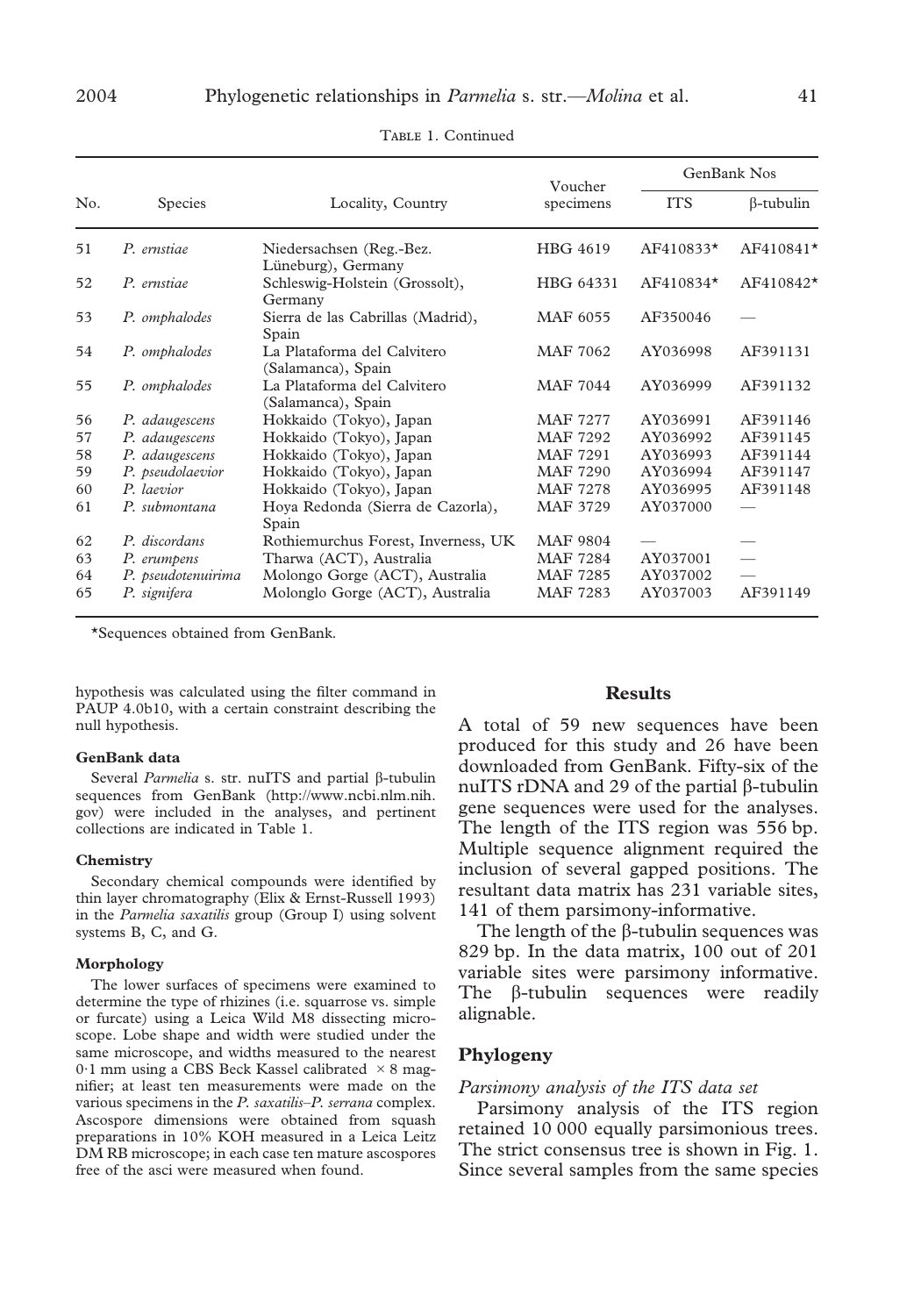|     | <b>Species</b>     |                                                   | Voucher         | GenBank Nos |                  |
|-----|--------------------|---------------------------------------------------|-----------------|-------------|------------------|
| No. |                    | Locality, Country                                 | specimens       | <b>ITS</b>  | $\beta$ -tubulin |
| 51  | P. ernstiae        | Niedersachsen (Reg.-Bez.<br>Lüneburg), Germany    | HBG 4619        | AF410833*   | AF410841*        |
| 52  | P. ernstiae        | Schleswig-Holstein (Grossolt),<br>Germany         | HBG 64331       | AF410834*   | AF410842*        |
| 53  | P. omphalodes      | Sierra de las Cabrillas (Madrid),<br>Spain        | MAF 6055        | AF350046    |                  |
| 54  | P. omphalodes      | La Plataforma del Calvitero<br>(Salamanca), Spain | MAF 7062        | AY036998    | AF391131         |
| 55  | P. omphalodes      | La Plataforma del Calvitero<br>(Salamanca), Spain | MAF 7044        | AY036999    | AF391132         |
| 56  | P. adaugescens     | Hokkaido (Tokyo), Japan                           | MAF 7277        | AY036991    | AF391146         |
| 57  | P. adaugescens     | Hokkaido (Tokyo), Japan                           | MAF 7292        | AY036992    | AF391145         |
| 58  | P. adaugescens     | Hokkaido (Tokyo), Japan                           | MAF 7291        | AY036993    | AF391144         |
| 59  | P. pseudolaevior   | Hokkaido (Tokyo), Japan                           | <b>MAF 7290</b> | AY036994    | AF391147         |
| 60  | P. laevior         | Hokkaido (Tokyo), Japan                           | <b>MAF 7278</b> | AY036995    | AF391148         |
| 61  | P. submontana      | Hoya Redonda (Sierra de Cazorla),<br>Spain        | MAF 3729        | AY037000    |                  |
| 62  | P. discordans      | Rothiemurchus Forest, Inverness, UK               | MAF 9804        |             |                  |
| 63  | P. erumpens        | Tharwa (ACT), Australia                           | <b>MAF 7284</b> | AY037001    |                  |
| 64  | P. pseudotenuirima | Molongo Gorge (ACT), Australia                    | <b>MAF 7285</b> | AY037002    |                  |
| 65  | P. signifera       | Molonglo Gorge (ACT), Australia                   | MAF 7283        | AY037003    | AF391149         |

TABLE 1. Continued

\*Sequences obtained from GenBank.

hypothesis was calculated using the filter command in PAUP 4.0b10, with a certain constraint describing the null hypothesis.

#### **GenBank data**

Several *Parmelia* s. str. nuITS and partial  $\beta$ -tubulin sequences from GenBank (http://www.ncbi.nlm.nih. gov) were included in the analyses, and pertinent collections are indicated in Table 1.

#### **Chemistry**

Secondary chemical compounds were identified by thin layer chromatography (Elix & Ernst-Russell 1993) in the *Parmelia saxatilis* group (Group I) using solvent systems B, C, and G.

#### **Morphology**

The lower surfaces of specimens were examined to determine the type of rhizines (i.e. squarrose vs. simple or furcate) using a Leica Wild M8 dissecting microscope. Lobe shape and width were studied under the same microscope, and widths measured to the nearest 0.1 mm using a CBS Beck Kassel calibrated  $\times$  8 magnifier; at least ten measurements were made on the various specimens in the *P. saxatilis*–*P. serrana* complex. Ascospore dimensions were obtained from squash preparations in 10% KOH measured in a Leica Leitz DM RB microscope; in each case ten mature ascospores free of the asci were measured when found.

### **Results**

A total of 59 new sequences have been produced for this study and 26 have been downloaded from GenBank. Fifty-six of the nuITS rDNA and 29 of the partial  $\beta$ -tubulin gene sequences were used for the analyses. The length of the ITS region was 556 bp. Multiple sequence alignment required the inclusion of several gapped positions. The resultant data matrix has 231 variable sites, 141 of them parsimony-informative.

The length of the  $\beta$ -tubulin sequences was 829 bp. In the data matrix, 100 out of 201 variable sites were parsimony informative. The  $\beta$ -tubulin sequences were readily alignable.

### **Phylogeny**

#### *Parsimony analysis of the ITS data set*

Parsimony analysis of the ITS region retained 10 000 equally parsimonious trees. The strict consensus tree is shown in Fig. 1. Since several samples from the same species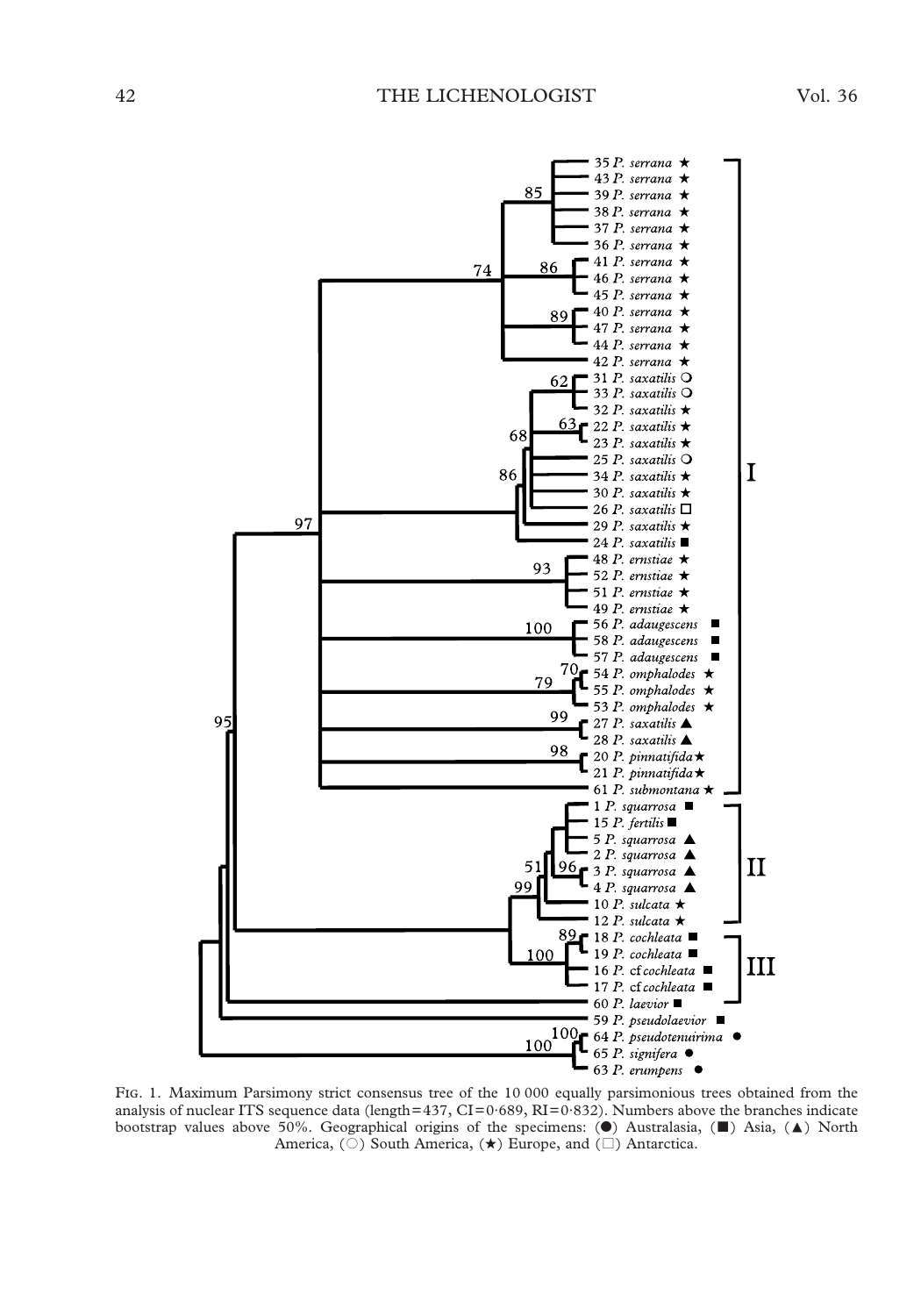

FIG. 1. Maximum Parsimony strict consensus tree of the 10 000 equally parsimonious trees obtained from the analysis of nuclear ITS sequence data (length=437, CI=0·689, RI=0·832). Numbers above the branches indicate bootstrap values above 50%. Geographical origins of the specimens:  $(\bullet)$  Australasia,  $(\bullet)$  Asia,  $(\bullet)$  North America, ( $\circ$ ) South America, ( $\star$ ) Europe, and ( $\Box$ ) Antarctica.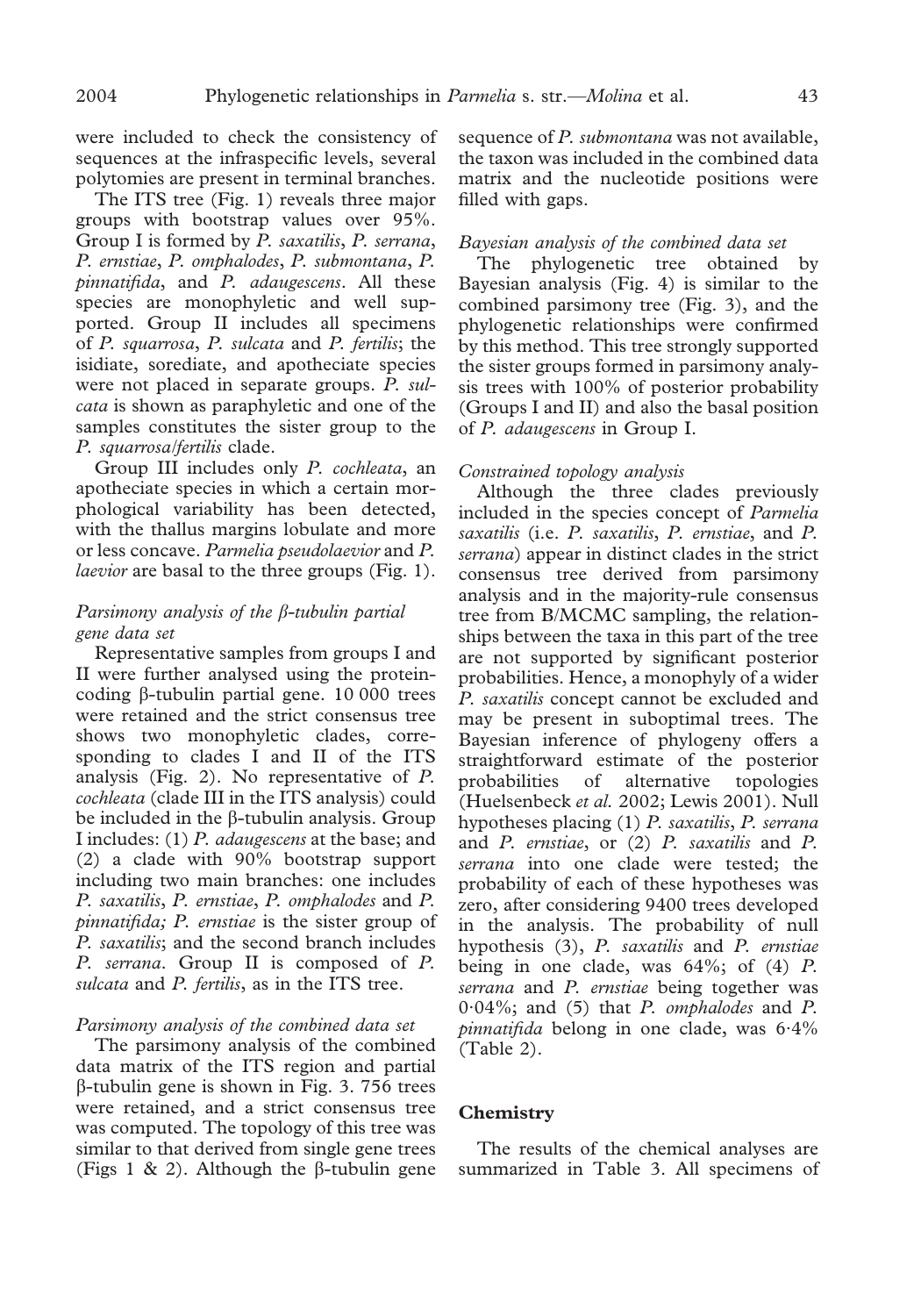were included to check the consistency of sequences at the infraspecific levels, several polytomies are present in terminal branches.

The ITS tree (Fig. 1) reveals three major groups with bootstrap values over 95%. Group I is formed by *P. saxatilis*, *P. serrana*, *P. ernstiae*, *P. omphalodes*, *P. submontana*, *P. pinnatifida*, and *P. adaugescens*. All these species are monophyletic and well supported. Group II includes all specimens of *P. squarrosa*, *P. sulcata* and *P. fertilis*; the isidiate, sorediate, and apotheciate species were not placed in separate groups. *P. sulcata* is shown as paraphyletic and one of the samples constitutes the sister group to the *P. squarrosa/fertilis* clade.

Group III includes only *P. cochleata*, an apotheciate species in which a certain morphological variability has been detected, with the thallus margins lobulate and more or less concave. *Parmelia pseudolaevior* and *P. laevior* are basal to the three groups (Fig. 1).

### *Parsimony analysis of the*  $\beta$ *-tubulin partial gene data set*

Representative samples from groups I and II were further analysed using the proteincoding  $\beta$ -tubulin partial gene. 10 000 trees were retained and the strict consensus tree shows two monophyletic clades, corresponding to clades I and II of the ITS analysis (Fig. 2). No representative of *P. cochleata* (clade III in the ITS analysis) could be included in the  $\beta$ -tubulin analysis. Group I includes: (1) *P. adaugescens* at the base; and (2) a clade with 90% bootstrap support including two main branches: one includes *P. saxatilis*, *P. ernstiae*, *P. omphalodes* and *P. pinnatifida; P. ernstiae* is the sister group of *P. saxatilis*; and the second branch includes *P. serrana*. Group II is composed of *P. sulcata* and *P. fertilis*, as in the ITS tree.

### *Parsimony analysis of the combined data set*

The parsimony analysis of the combined data matrix of the ITS region and partial  $\beta$ -tubulin gene is shown in Fig. 3. 756 trees were retained, and a strict consensus tree was computed. The topology of this tree was similar to that derived from single gene trees (Figs 1 & 2). Although the  $\beta$ -tubulin gene sequence of *P. submontana* was not available, the taxon was included in the combined data matrix and the nucleotide positions were filled with gaps.

### *Bayesian analysis of the combined data set*

The phylogenetic tree obtained by Bayesian analysis (Fig. 4) is similar to the combined parsimony tree (Fig. 3), and the phylogenetic relationships were confirmed by this method. This tree strongly supported the sister groups formed in parsimony analysis trees with 100% of posterior probability (Groups I and II) and also the basal position of *P. adaugescens* in Group I.

#### *Constrained topology analysis*

Although the three clades previously included in the species concept of *Parmelia saxatilis* (i.e. *P. saxatilis*, *P. ernstiae*, and *P. serrana*) appear in distinct clades in the strict consensus tree derived from parsimony analysis and in the majority-rule consensus tree from B/MCMC sampling, the relationships between the taxa in this part of the tree are not supported by significant posterior probabilities. Hence, a monophyly of a wider *P. saxatilis* concept cannot be excluded and may be present in suboptimal trees. The Bayesian inference of phylogeny offers a straightforward estimate of the posterior probabilities of alternative topologies (Huelsenbeck *et al.* 2002; Lewis 2001). Null hypotheses placing (1) *P. saxatilis*, *P. serrana* and *P. ernstiae*, or (2) *P. saxatilis* and *P. serrana* into one clade were tested; the probability of each of these hypotheses was zero, after considering 9400 trees developed in the analysis. The probability of null hypothesis (3), *P. saxatilis* and *P. ernstiae* being in one clade, was 64%; of (4) *P. serrana* and *P. ernstiae* being together was 0·04%; and (5) that *P. omphalodes* and *P. pinnatifida* belong in one clade, was 6·4% (Table 2).

### **Chemistry**

The results of the chemical analyses are summarized in Table 3. All specimens of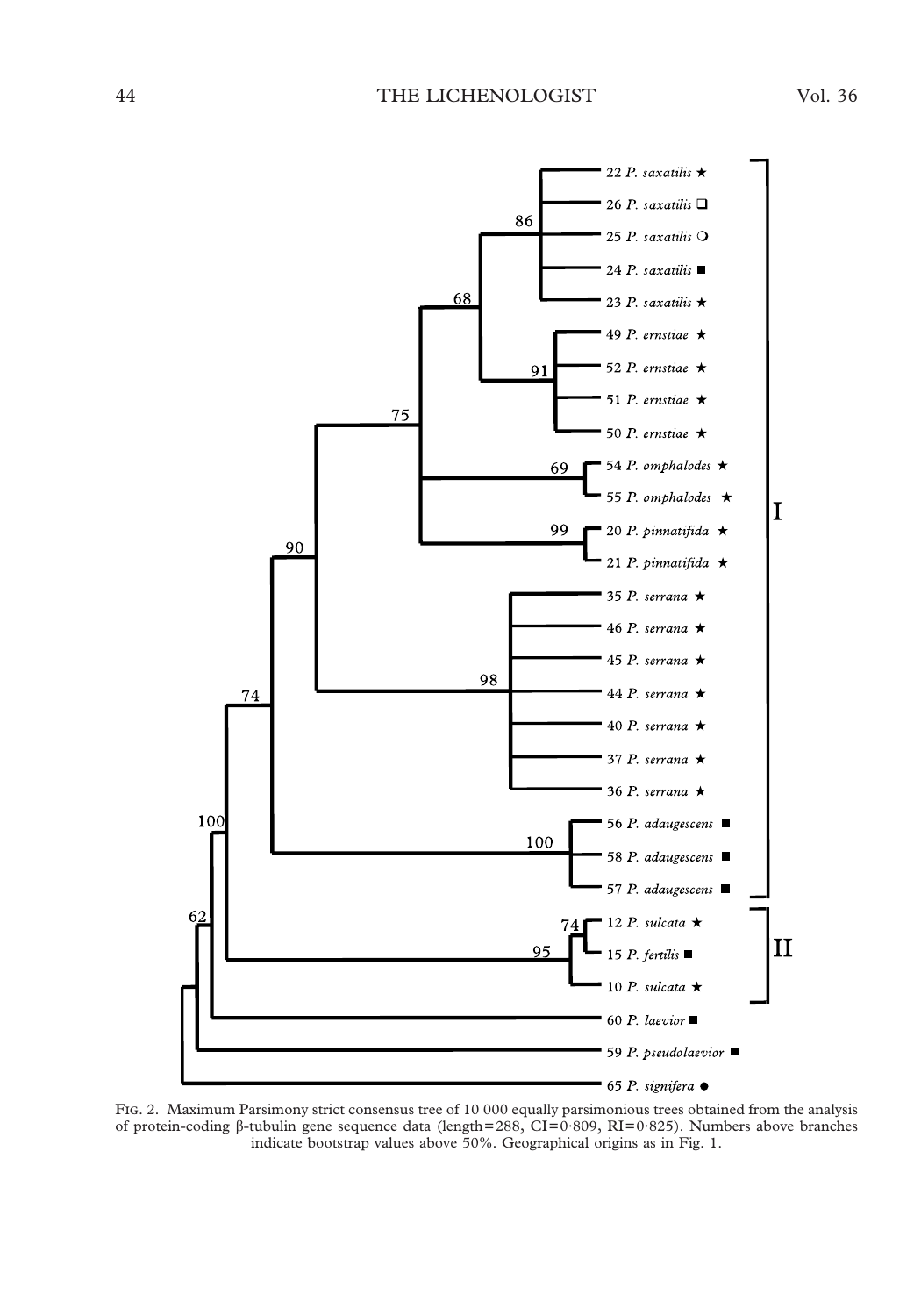

FIG. 2. Maximum Parsimony strict consensus tree of 10 000 equally parsimonious trees obtained from the analysis of protein-coding  $\beta$ -tubulin gene sequence data (length=288, CI=0·809, RI=0·825). Numbers above branches indicate bootstrap values above 50%. Geographical origins as in Fig. 1.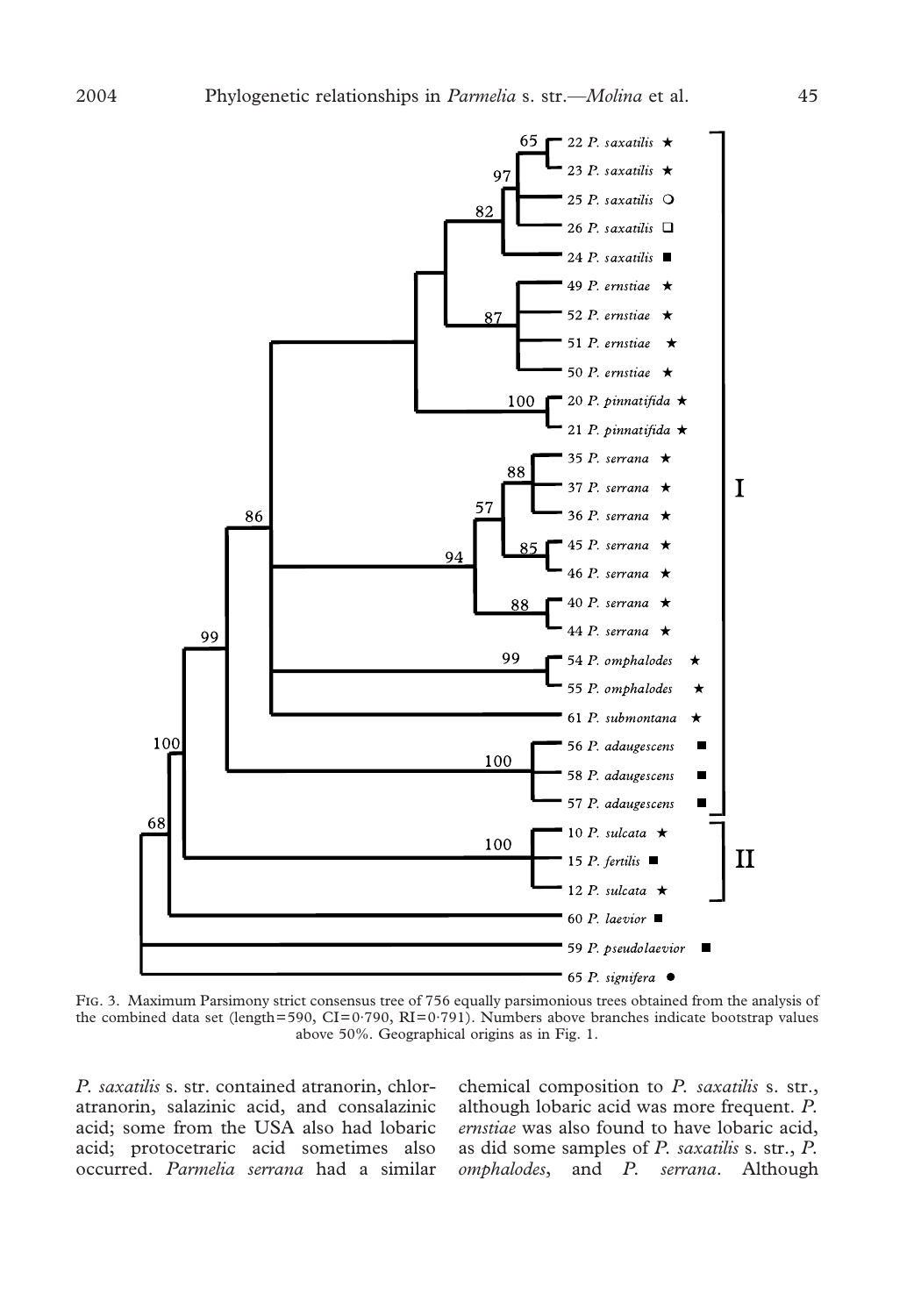

FIG. 3. Maximum Parsimony strict consensus tree of 756 equally parsimonious trees obtained from the analysis of the combined data set (length=590, CI=0·790, RI=0·791). Numbers above branches indicate bootstrap values above 50%. Geographical origins as in Fig. 1.

*P. saxatilis* s. str. contained atranorin, chloratranorin, salazinic acid, and consalazinic acid; some from the USA also had lobaric acid; protocetraric acid sometimes also occurred. *Parmelia serrana* had a similar chemical composition to *P. saxatilis* s. str., although lobaric acid was more frequent. *P. ernstiae* was also found to have lobaric acid, as did some samples of *P. saxatilis* s. str., *P. omphalodes*, and *P. serrana*. Although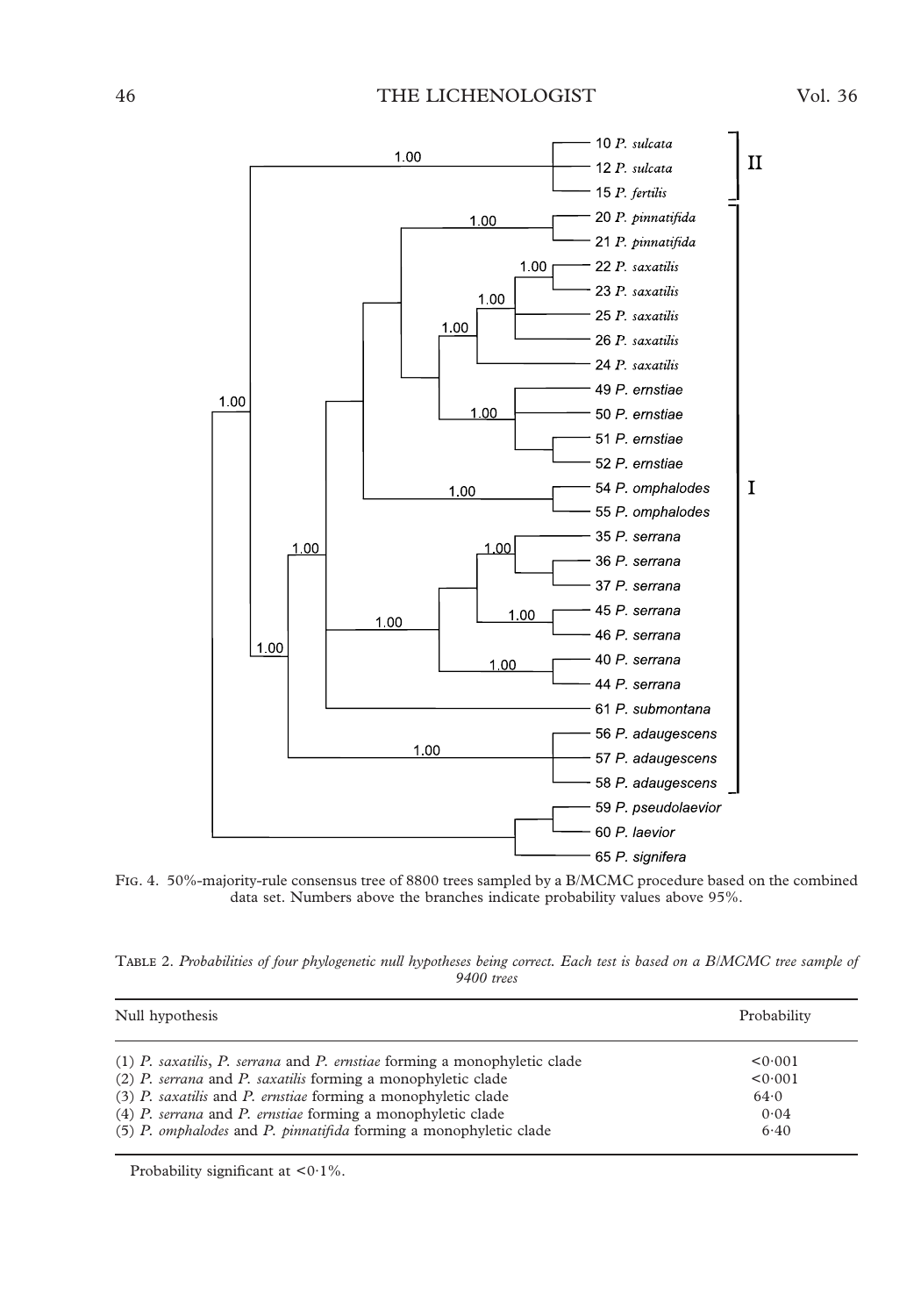### 46 THE LICHENOLOGIST Vol. 36



FIG. 4. 50%-majority-rule consensus tree of 8800 trees sampled by a B/MCMC procedure based on the combined data set. Numbers above the branches indicate probability values above 95%.

| TABLE 2. Probabilities of four phylogenetic null hypotheses being correct. Each test is based on a B/MCMC tree sample of |  |  |  |  |  |  |
|--------------------------------------------------------------------------------------------------------------------------|--|--|--|--|--|--|
| $9400$ trees                                                                                                             |  |  |  |  |  |  |

| Null hypothesis                                                             | Probability |  |
|-----------------------------------------------------------------------------|-------------|--|
| $(1)$ P. saxatilis, P. serrana and P. ernstiae forming a monophyletic clade | < 0.001     |  |
| $(2)$ P, serrana and P, saxatilis forming a monophyletic clade              | < 0.001     |  |
| $(3)$ P. saxatilis and P. ernstiae forming a monophyletic clade             | 64.0        |  |
| $(4)$ P, serrana and P, ernstiae forming a monophyletic clade               | 0.04        |  |
| (5) P. omphalodes and P. pinnatifida forming a monophyletic clade           | 6.40        |  |

Probability significant at <0.1%.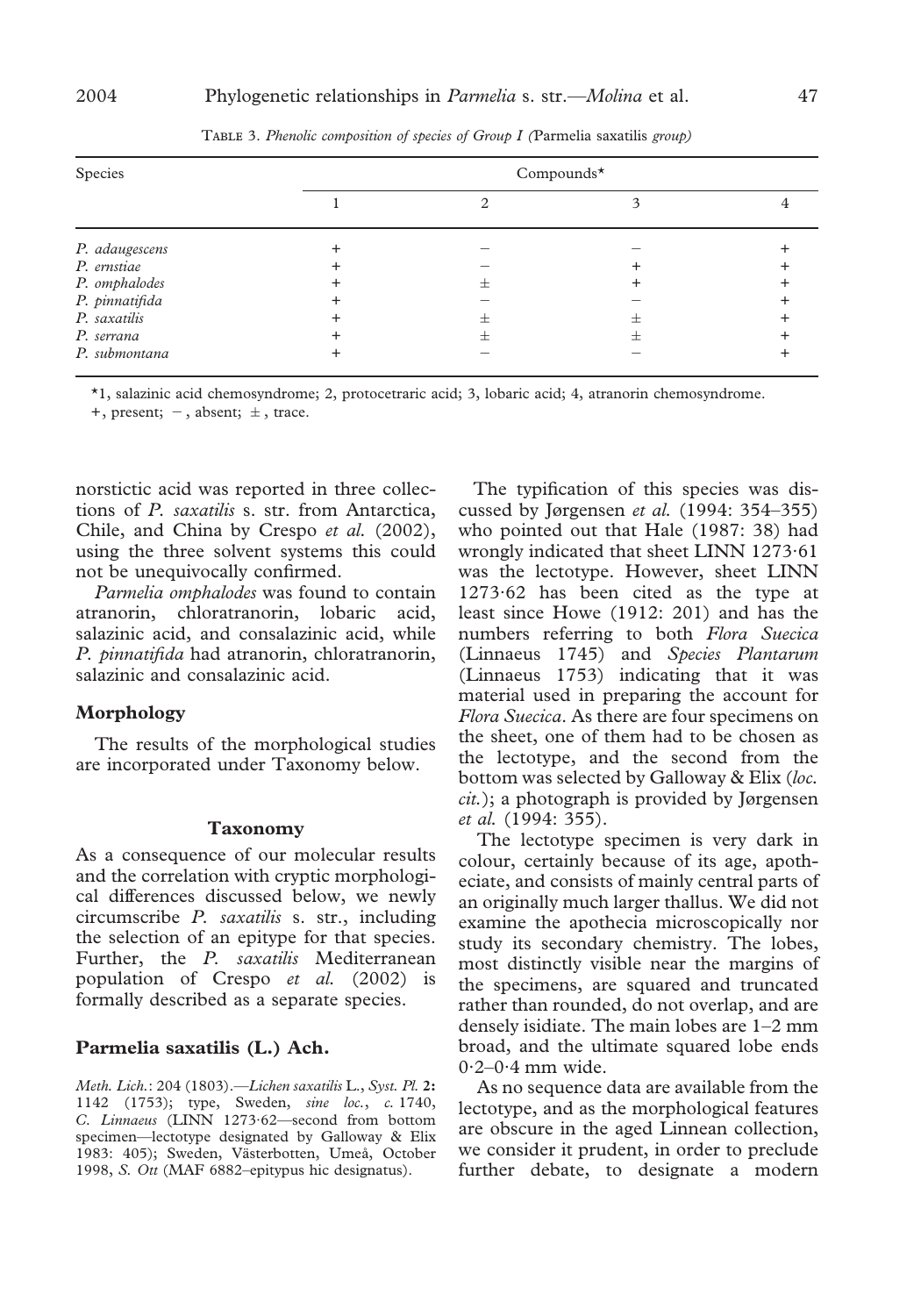| Species        | Compounds $*$ |  |  |  |
|----------------|---------------|--|--|--|
|                |               |  |  |  |
| P. adaugescens |               |  |  |  |
| P. ernstiae    |               |  |  |  |
| P. omphalodes  |               |  |  |  |
| P. pinnatifida |               |  |  |  |
| P. saxatilis   |               |  |  |  |
| P. serrana     |               |  |  |  |
| P. submontana  |               |  |  |  |

TABLE 3. *Phenolic composition of species of Group I (Parmelia saxatilis group)* 

\*1, salazinic acid chemosyndrome; 2, protocetraric acid; 3, lobaric acid; 4, atranorin chemosyndrome.

+, present;  $-$ , absent;  $\pm$ , trace.

norstictic acid was reported in three collections of *P. saxatilis* s. str. from Antarctica, Chile, and China by Crespo *et al.* (2002), using the three solvent systems this could not be unequivocally confirmed.

*Parmelia omphalodes* was found to contain atranorin, chloratranorin, lobaric acid, salazinic acid, and consalazinic acid, while *P. pinnatifida* had atranorin, chloratranorin, salazinic and consalazinic acid.

### **Morphology**

The results of the morphological studies are incorporated under Taxonomy below.

### **Taxonomy**

As a consequence of our molecular results and the correlation with cryptic morphological differences discussed below, we newly circumscribe *P. saxatilis* s. str., including the selection of an epitype for that species. Further, the *P. saxatilis* Mediterranean population of Crespo *et al.* (2002) is formally described as a separate species.

### **Parmelia saxatilis (L.) Ach.**

*Meth. Lich.*: 204 (1803).—*Lichen saxatilis* L., *Syst. Pl.* **2:** 1142 (1753); type, Sweden, *sine loc.*, *c.* 1740, *C. Linnaeus* (LINN 1273·62—second from bottom specimen—lectotype designated by Galloway & Elix 1983: 405); Sweden, Västerbotten, Umeå, October 1998, *S. Ott* (MAF 6882–epitypus hic designatus).

The typification of this species was discussed by Jørgensen *et al.* (1994: 354–355) who pointed out that Hale (1987: 38) had wrongly indicated that sheet LINN 1273·61 was the lectotype. However, sheet LINN 1273·62 has been cited as the type at least since Howe (1912: 201) and has the numbers referring to both *Flora Suecica* (Linnaeus 1745) and *Species Plantarum* (Linnaeus 1753) indicating that it was material used in preparing the account for *Flora Suecica*. As there are four specimens on the sheet, one of them had to be chosen as the lectotype, and the second from the bottom was selected by Galloway & Elix (*loc. cit.*); a photograph is provided by Jørgensen *et al.* (1994: 355).

The lectotype specimen is very dark in colour, certainly because of its age, apotheciate, and consists of mainly central parts of an originally much larger thallus. We did not examine the apothecia microscopically nor study its secondary chemistry. The lobes, most distinctly visible near the margins of the specimens, are squared and truncated rather than rounded, do not overlap, and are densely isidiate. The main lobes are 1–2 mm broad, and the ultimate squared lobe ends  $0.2 - 0.4$  mm wide.

As no sequence data are available from the lectotype, and as the morphological features are obscure in the aged Linnean collection, we consider it prudent, in order to preclude further debate, to designate a modern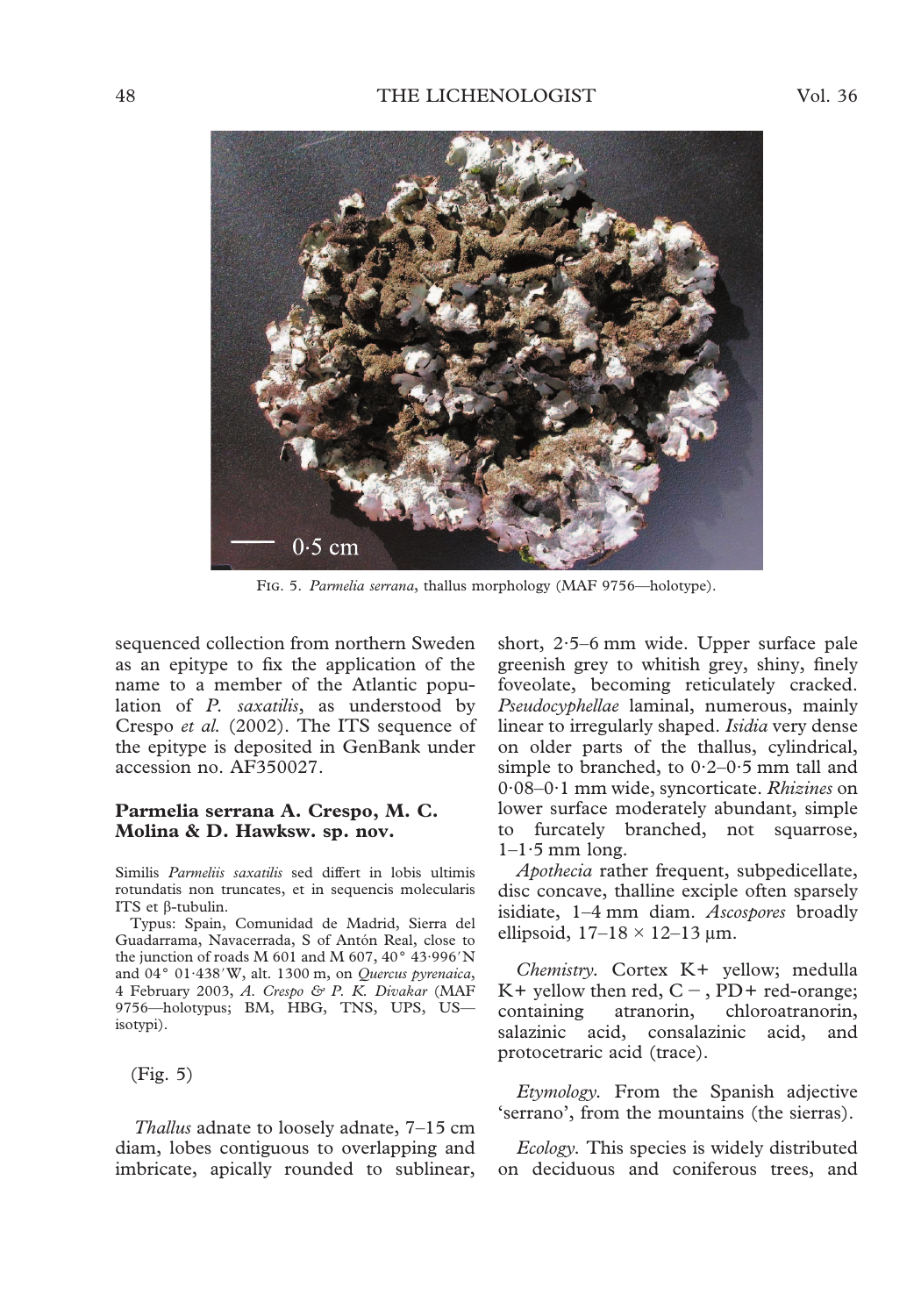

FIG. 5. Parmelia serrana, thallus morphology (MAF 9756—holotype).

sequenced collection from northern Sweden as an epitype to fix the application of the name to a member of the Atlantic population of *P. saxatilis*, as understood by Crespo *et al.* (2002). The ITS sequence of the epitype is deposited in GenBank under accession no. AF350027.

### **Parmelia serrana A. Crespo, M. C. Molina & D. Hawksw. sp. nov.**

Similis *Parmeliis saxatilis* sed differt in lobis ultimis rotundatis non truncates, et in sequencis molecularis ITS et  $\beta$ -tubulin.

Typus: Spain, Comunidad de Madrid, Sierra del Guadarrama, Navacerrada, S of Antón Real, close to the junction of roads M 601 and M 607,  $40^{\circ}$  43.996'N and 04° 01<sup>·438</sup>'W, alt. 1300 m, on *Quercus pyrenaica*, 4 February 2003, *A. Crespo & P. K. Divakar* (MAF 9756—holotypus; BM, HBG, TNS, UPS, US isotypi).

(Fig. 5)

*Thallus* adnate to loosely adnate, 7–15 cm diam, lobes contiguous to overlapping and imbricate, apically rounded to sublinear, short, 2·5–6 mm wide. Upper surface pale greenish grey to whitish grey, shiny, finely foveolate, becoming reticulately cracked. *Pseudocyphellae* laminal, numerous, mainly linear to irregularly shaped. *Isidia* very dense on older parts of the thallus, cylindrical, simple to branched, to  $0.2-0.5$  mm tall and 0·08–0·1 mm wide, syncorticate. *Rhizines* on lower surface moderately abundant, simple to furcately branched, not squarrose,  $1-1.5$  mm long.

*Apothecia* rather frequent, subpedicellate, disc concave, thalline exciple often sparsely isidiate, 1–4 mm diam. *Ascospores* broadly ellipsoid,  $17-18 \times 12-13$  µm.

*Chemistry.* Cortex K+ yellow; medulla K+ yellow then red,  $C -$ ,  $\overrightarrow{PD}$ + red-orange;<br>containing atranorin, chloroatranorin, containing atranorin, chloroatranorin, salazinic acid, consalazinic acid, and protocetraric acid (trace).

*Etymology.* From the Spanish adjective 'serrano', from the mountains (the sierras).

*Ecology.* This species is widely distributed on deciduous and coniferous trees, and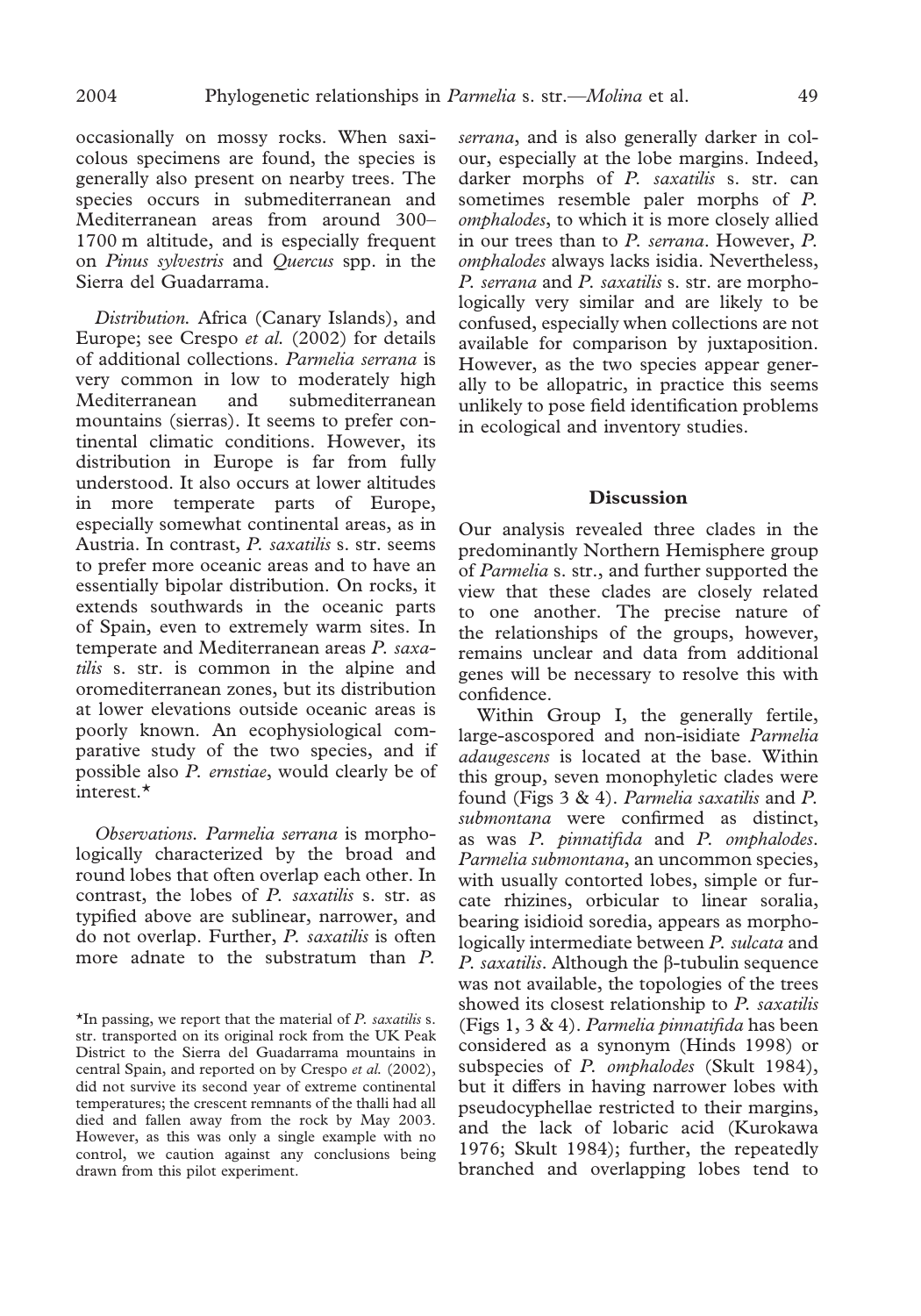occasionally on mossy rocks. When saxicolous specimens are found, the species is generally also present on nearby trees. The species occurs in submediterranean and Mediterranean areas from around 300– 1700 m altitude, and is especially frequent on *Pinus sylvestris* and *Quercus* spp. in the Sierra del Guadarrama.

*Distribution.* Africa (Canary Islands), and Europe; see Crespo *et al.* (2002) for details of additional collections. *Parmelia serrana* is very common in low to moderately high Mediterranean and submediterranean mountains (sierras). It seems to prefer continental climatic conditions. However, its distribution in Europe is far from fully understood. It also occurs at lower altitudes in more temperate parts of Europe, especially somewhat continental areas, as in Austria. In contrast, *P. saxatilis* s. str. seems to prefer more oceanic areas and to have an essentially bipolar distribution. On rocks, it extends southwards in the oceanic parts of Spain, even to extremely warm sites. In temperate and Mediterranean areas *P. saxatilis* s. str. is common in the alpine and oromediterranean zones, but its distribution at lower elevations outside oceanic areas is poorly known. An ecophysiological comparative study of the two species, and if possible also *P. ernstiae*, would clearly be of interest.\*

*Observations. Parmelia serrana* is morphologically characterized by the broad and round lobes that often overlap each other. In contrast, the lobes of *P. saxatilis* s. str. as typified above are sublinear, narrower, and do not overlap. Further, *P. saxatilis* is often more adnate to the substratum than *P.*

*serrana*, and is also generally darker in colour, especially at the lobe margins. Indeed, darker morphs of *P. saxatilis* s. str. can sometimes resemble paler morphs of *P. omphalodes*, to which it is more closely allied in our trees than to *P. serrana*. However, *P. omphalodes* always lacks isidia. Nevertheless, *P. serrana* and *P. saxatilis* s. str. are morphologically very similar and are likely to be confused, especially when collections are not available for comparison by juxtaposition. However, as the two species appear generally to be allopatric, in practice this seems unlikely to pose field identification problems in ecological and inventory studies.

### **Discussion**

Our analysis revealed three clades in the predominantly Northern Hemisphere group of *Parmelia* s. str., and further supported the view that these clades are closely related to one another. The precise nature of the relationships of the groups, however, remains unclear and data from additional genes will be necessary to resolve this with confidence.

Within Group I, the generally fertile, large-ascospored and non-isidiate *Parmelia adaugescens* is located at the base. Within this group, seven monophyletic clades were found (Figs 3 & 4). *Parmelia saxatilis* and *P. submontana* were confirmed as distinct, as was *P. pinnatifida* and *P. omphalodes*. *Parmelia submontana*, an uncommon species, with usually contorted lobes, simple or furcate rhizines, orbicular to linear soralia, bearing isidioid soredia, appears as morphologically intermediate between *P. sulcata* and *P. saxatilis.* Although the  $\beta$ -tubulin sequence was not available, the topologies of the trees showed its closest relationship to *P. saxatilis* (Figs 1, 3 & 4). *Parmelia pinnatifida* has been considered as a synonym (Hinds 1998) or subspecies of *P. omphalodes* (Skult 1984), but it differs in having narrower lobes with pseudocyphellae restricted to their margins, and the lack of lobaric acid (Kurokawa 1976; Skult 1984); further, the repeatedly branched and overlapping lobes tend to

<sup>\*</sup>In passing, we report that the material of *P. saxatilis* s. str. transported on its original rock from the UK Peak District to the Sierra del Guadarrama mountains in central Spain, and reported on by Crespo *et al.* (2002), did not survive its second year of extreme continental temperatures; the crescent remnants of the thalli had all died and fallen away from the rock by May 2003. However, as this was only a single example with no control, we caution against any conclusions being drawn from this pilot experiment.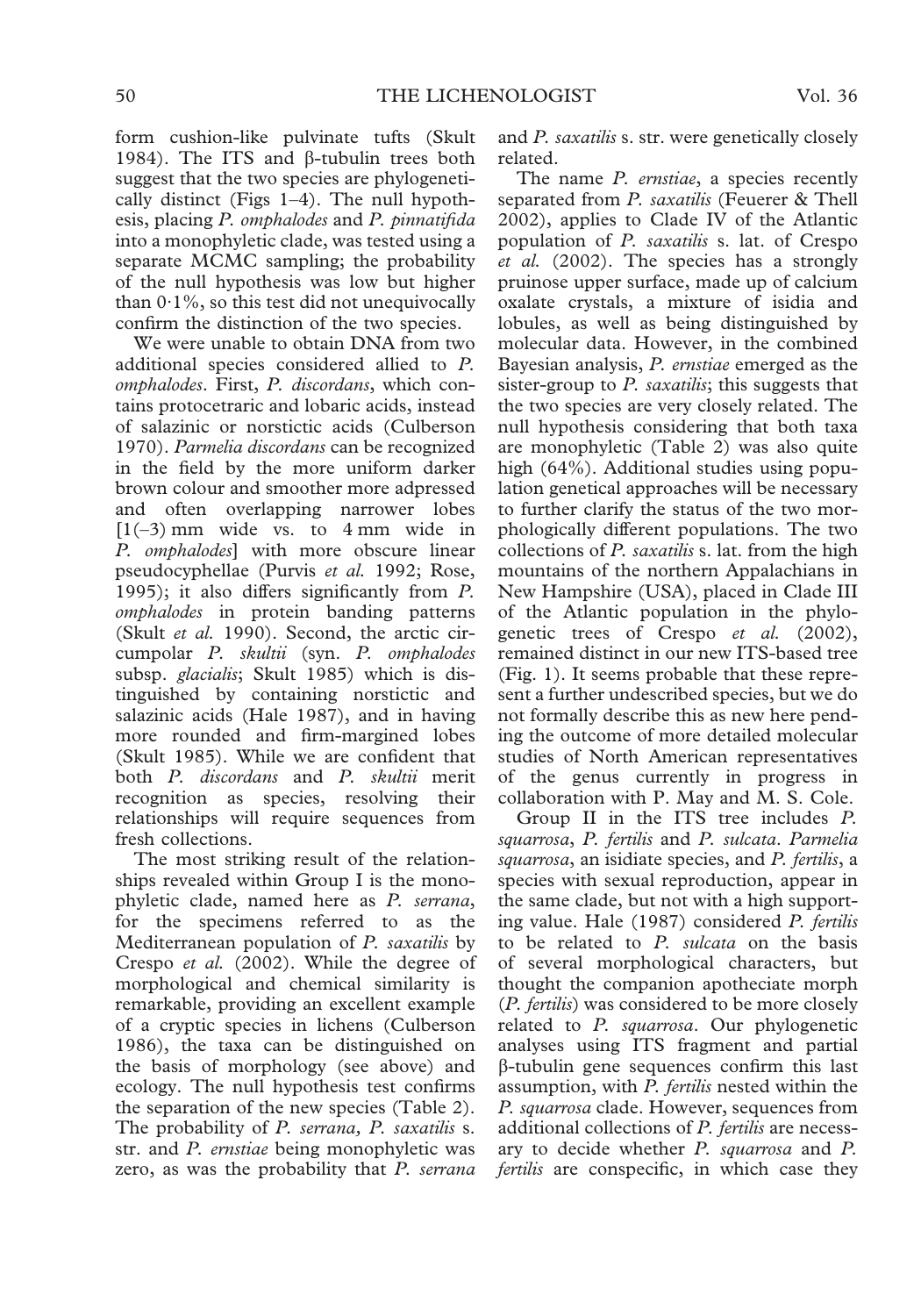form cushion-like pulvinate tufts (Skult 1984). The ITS and  $\beta$ -tubulin trees both suggest that the two species are phylogenetically distinct (Figs 1–4). The null hypothesis, placing *P. omphalodes* and *P. pinnatifida* into a monophyletic clade, was tested using a separate MCMC sampling; the probability of the null hypothesis was low but higher than  $0.1\%$ , so this test did not unequivocally confirm the distinction of the two species.

We were unable to obtain DNA from two additional species considered allied to *P. omphalodes*. First, *P. discordans*, which contains protocetraric and lobaric acids, instead of salazinic or norstictic acids (Culberson 1970). *Parmelia discordans* can be recognized in the field by the more uniform darker brown colour and smoother more adpressed and often overlapping narrower lobes  $[1(-3)$  mm wide vs. to 4 mm wide in *P. omphalodes*] with more obscure linear pseudocyphellae (Purvis *et al.* 1992; Rose, 1995); it also differs significantly from *P. omphalodes* in protein banding patterns (Skult *et al.* 1990). Second, the arctic circumpolar *P. skultii* (syn. *P. omphalodes* subsp. *glacialis*; Skult 1985) which is distinguished by containing norstictic and salazinic acids (Hale 1987), and in having more rounded and firm-margined lobes (Skult 1985). While we are confident that both *P. discordans* and *P. skultii* merit recognition as species, resolving their relationships will require sequences from fresh collections.

The most striking result of the relationships revealed within Group I is the monophyletic clade, named here as *P. serrana*, for the specimens referred to as the Mediterranean population of *P. saxatilis* by Crespo *et al.* (2002). While the degree of morphological and chemical similarity is remarkable, providing an excellent example of a cryptic species in lichens (Culberson 1986), the taxa can be distinguished on the basis of morphology (see above) and ecology. The null hypothesis test confirms the separation of the new species (Table 2). The probability of *P. serrana, P. saxatilis* s. str. and *P. ernstiae* being monophyletic was zero, as was the probability that *P. serrana*

and *P. saxatilis* s. str. were genetically closely related.

The name *P. ernstiae*, a species recently separated from *P. saxatilis* (Feuerer & Thell 2002), applies to Clade IV of the Atlantic population of *P. saxatilis* s. lat. of Crespo *et al.* (2002). The species has a strongly pruinose upper surface, made up of calcium oxalate crystals, a mixture of isidia and lobules, as well as being distinguished by molecular data. However, in the combined Bayesian analysis, *P. ernstiae* emerged as the sister-group to *P. saxatilis*; this suggests that the two species are very closely related. The null hypothesis considering that both taxa are monophyletic (Table 2) was also quite high (64%). Additional studies using population genetical approaches will be necessary to further clarify the status of the two morphologically different populations. The two collections of *P. saxatilis* s. lat. from the high mountains of the northern Appalachians in New Hampshire (USA), placed in Clade III of the Atlantic population in the phylogenetic trees of Crespo *et al.* (2002), remained distinct in our new ITS-based tree (Fig. 1). It seems probable that these represent a further undescribed species, but we do not formally describe this as new here pending the outcome of more detailed molecular studies of North American representatives of the genus currently in progress in collaboration with P. May and M. S. Cole.

Group II in the ITS tree includes *P. squarrosa*, *P. fertilis* and *P. sulcata*. *Parmelia squarrosa*, an isidiate species, and *P. fertilis*, a species with sexual reproduction, appear in the same clade, but not with a high supporting value. Hale (1987) considered *P. fertilis* to be related to *P. sulcata* on the basis of several morphological characters, but thought the companion apotheciate morph (*P. fertilis*) was considered to be more closely related to *P. squarrosa*. Our phylogenetic analyses using ITS fragment and partial  $\beta$ -tubulin gene sequences confirm this last assumption, with *P. fertilis* nested within the *P. squarrosa* clade. However, sequences from additional collections of *P. fertilis* are necessary to decide whether *P. squarrosa* and *P. fertilis* are conspecific, in which case they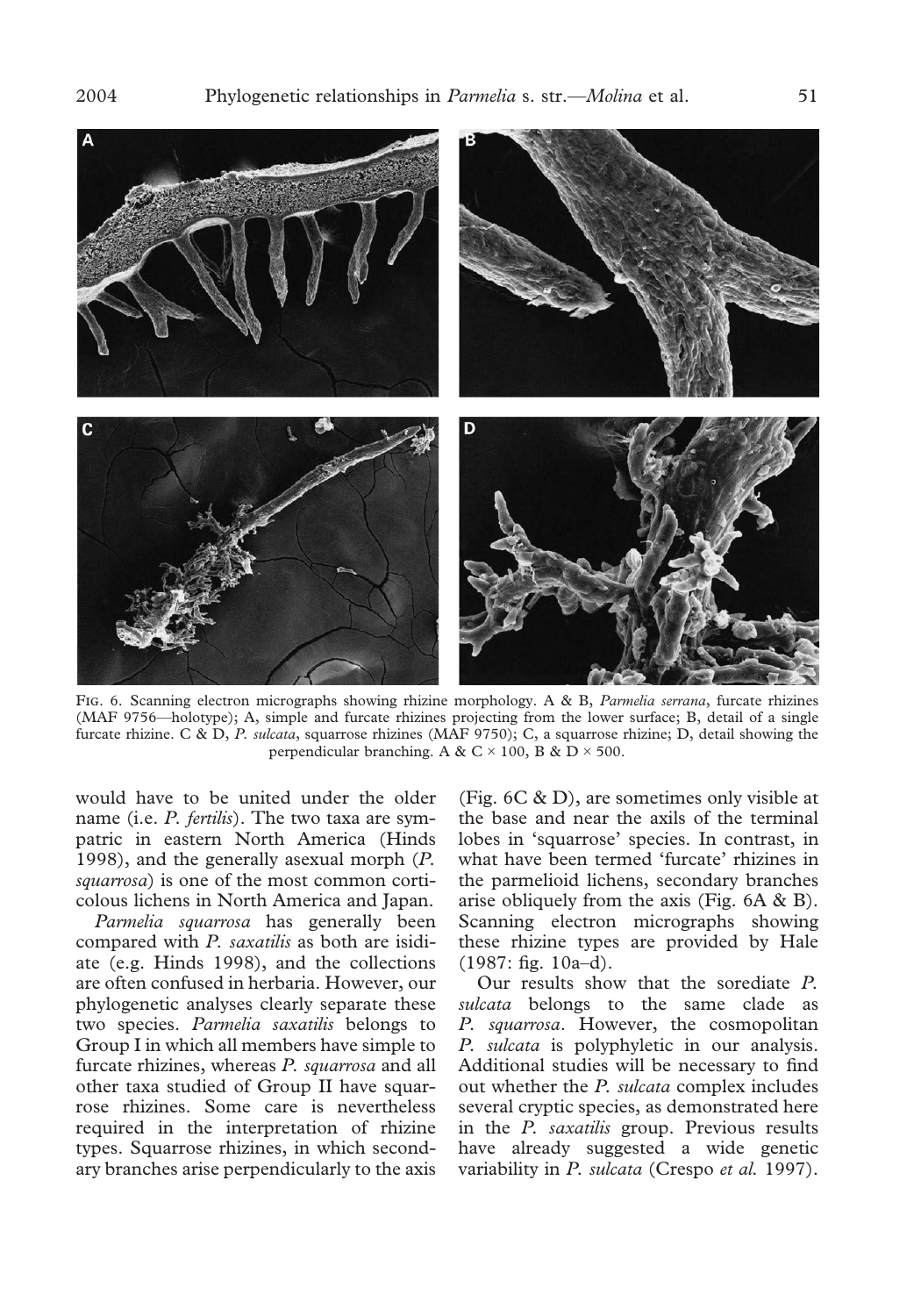

F. 6. Scanning electron micrographs showing rhizine morphology. A & B, *Parmelia serrana*, furcate rhizines (MAF 9756—holotype); A, simple and furcate rhizines projecting from the lower surface; B, detail of a single furcate rhizine. C & D, *P. sulcata*, squarrose rhizines (MAF 9750); C, a squarrose rhizine; D, detail showing the perpendicular branching. A & C  $\times$  100, B & D  $\times$  500.

would have to be united under the older name (i.e. *P. fertilis*). The two taxa are sympatric in eastern North America (Hinds 1998), and the generally asexual morph (*P. squarrosa*) is one of the most common corticolous lichens in North America and Japan.

*Parmelia squarrosa* has generally been compared with *P. saxatilis* as both are isidiate (e.g. Hinds 1998), and the collections are often confused in herbaria. However, our phylogenetic analyses clearly separate these two species. *Parmelia saxatilis* belongs to Group I in which all members have simple to furcate rhizines, whereas *P. squarrosa* and all other taxa studied of Group II have squarrose rhizines. Some care is nevertheless required in the interpretation of rhizine types. Squarrose rhizines, in which secondary branches arise perpendicularly to the axis

(Fig. 6C & D), are sometimes only visible at the base and near the axils of the terminal lobes in 'squarrose' species. In contrast, in what have been termed 'furcate' rhizines in the parmelioid lichens, secondary branches arise obliquely from the axis (Fig. 6A & B). Scanning electron micrographs showing these rhizine types are provided by Hale (1987: fig. 10a–d).

Our results show that the sorediate *P. sulcata* belongs to the same clade as *P. squarrosa*. However, the cosmopolitan *P. sulcata* is polyphyletic in our analysis. Additional studies will be necessary to find out whether the *P. sulcata* complex includes several cryptic species, as demonstrated here in the *P. saxatilis* group. Previous results have already suggested a wide genetic variability in *P. sulcata* (Crespo *et al.* 1997).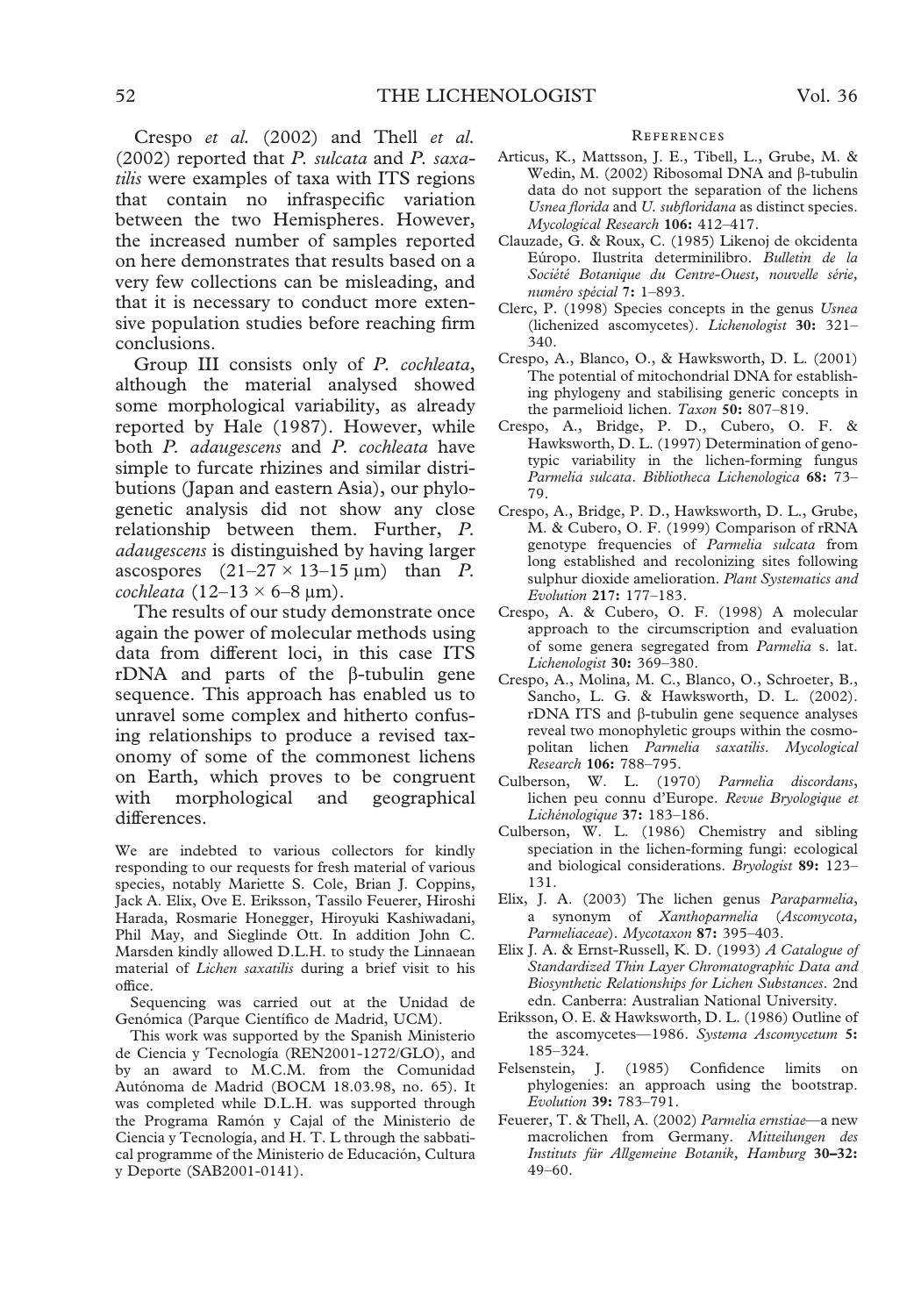Crespo *et al.* (2002) and Thell *et al.* (2002) reported that *P. sulcata* and *P. saxatilis* were examples of taxa with ITS regions that contain no infraspecific variation between the two Hemispheres. However, the increased number of samples reported on here demonstrates that results based on a very few collections can be misleading, and that it is necessary to conduct more extensive population studies before reaching firm conclusions.

Group III consists only of *P. cochleata*, although the material analysed showed some morphological variability, as already reported by Hale (1987). However, while both *P. adaugescens* and *P. cochleata* have simple to furcate rhizines and similar distributions (Japan and eastern Asia), our phylogenetic analysis did not show any close relationship between them. Further, *P. adaugescens* is distinguished by having larger ascospores  $(21-27 \times 13-15 \,\mu\text{m})$  than *P*.  $cochleata$  (12–13  $\times$  6–8  $\mu$ m).

The results of our study demonstrate once again the power of molecular methods using data from different loci, in this case ITS rDNA and parts of the  $\beta$ -tubulin gene sequence. This approach has enabled us to unravel some complex and hitherto confusing relationships to produce a revised taxonomy of some of the commonest lichens on Earth, which proves to be congruent with morphological and geographical differences.

We are indebted to various collectors for kindly responding to our requests for fresh material of various species, notably Mariette S. Cole, Brian J. Coppins, Jack A. Elix, Ove E. Eriksson, Tassilo Feuerer, Hiroshi Harada, Rosmarie Honegger, Hiroyuki Kashiwadani, Phil May, and Sieglinde Ott. In addition John C. Marsden kindly allowed D.L.H. to study the Linnaean material of *Lichen saxatilis* during a brief visit to his office.

Sequencing was carried out at the Unidad de Genómica (Parque Científico de Madrid, UCM).

This work was supported by the Spanish Ministerio de Ciencia y Tecnología (REN2001-1272/GLO), and by an award to M.C.M. from the Comunidad Autónoma de Madrid (BOCM 18.03.98, no. 65). It was completed while D.L.H. was supported through the Programa Ramón y Cajal of the Ministerio de Ciencia y Tecnología, and H. T. L through the sabbatical programme of the Ministerio de Educación, Cultura y Deporte (SAB2001-0141).

### **REFERENCES**

- Articus, K., Mattsson, J. E., Tibell, L., Grube, M. & Wedin, M. (2002) Ribosomal DNA and  $\beta$ -tubulin data do not support the separation of the lichens *Usnea florida* and *U. subfloridana* as distinct species. *Mycological Research* **106:** 412–417.
- Clauzade, G. & Roux, C. (1985) Likenoj de okcidenta Eúropo. Ilustrita determinilibro. *Bulletin de la Société Botanique du Centre-Ouest, nouvelle série, numéro spécial* **7:** 1–893.
- Clerc, P. (1998) Species concepts in the genus *Usnea* (lichenized ascomycetes). *Lichenologist* **30:** 321– 340.
- Crespo, A., Blanco, O., & Hawksworth, D. L. (2001) The potential of mitochondrial DNA for establishing phylogeny and stabilising generic concepts in the parmelioid lichen. *Taxon* **50:** 807–819.
- Crespo, A., Bridge, P. D., Cubero, O. F. & Hawksworth, D. L. (1997) Determination of genotypic variability in the lichen-forming fungus *Parmelia sulcata*. *Bibliotheca Lichenologica* **68:** 73– 79.
- Crespo, A., Bridge, P. D., Hawksworth, D. L., Grube, M. & Cubero, O. F. (1999) Comparison of rRNA genotype frequencies of *Parmelia sulcata* from long established and recolonizing sites following sulphur dioxide amelioration. *Plant Systematics and Evolution* **217:** 177–183.
- Crespo, A. & Cubero, O. F. (1998) A molecular approach to the circumscription and evaluation of some genera segregated from *Parmelia* s. lat. *Lichenologist* **30:** 369–380.
- Crespo, A., Molina, M. C., Blanco, O., Schroeter, B., Sancho, L. G. & Hawksworth, D. L. (2002).  $rDNA$  ITS and  $\beta$ -tubulin gene sequence analyses reveal two monophyletic groups within the cosmopolitan lichen *Parmelia saxatilis*. *Mycological Research* **106:** 788–795.
- Culberson, W. L. (1970) *Parmelia discordans*, lichen peu connu d'Europe. *Revue Bryologique et Lichénologique* **37:** 183–186.
- Culberson, W. L. (1986) Chemistry and sibling speciation in the lichen-forming fungi: ecological and biological considerations. *Bryologist* **89:** 123– 131.
- Elix, J. A. (2003) The lichen genus *Paraparmelia*, a synonym of *Xanthoparmelia* (*Ascomycota, Parmeliaceae*). *Mycotaxon* **87:** 395–403.
- Elix J. A. & Ernst-Russell, K. D. (1993) *A Catalogue of Standardized Thin Layer Chromatographic Data and Biosynthetic Relationships for Lichen Substances*. 2nd edn. Canberra: Australian National University.
- Eriksson, O. E. & Hawksworth, D. L. (1986) Outline of the ascomycetes—1986. *Systema Ascomycetum* **5:** 185–324.
- Felsenstein, J. (1985) Confidence limits on phylogenies: an approach using the bootstrap. *Evolution* **39:** 783–791.
- Feuerer, T. & Thell, A. (2002) *Parmelia ernstiae*—a new macrolichen from Germany. *Mitteilungen des Instituts für Allgemeine Botanik, Hamburg* **30–32:** 49–60.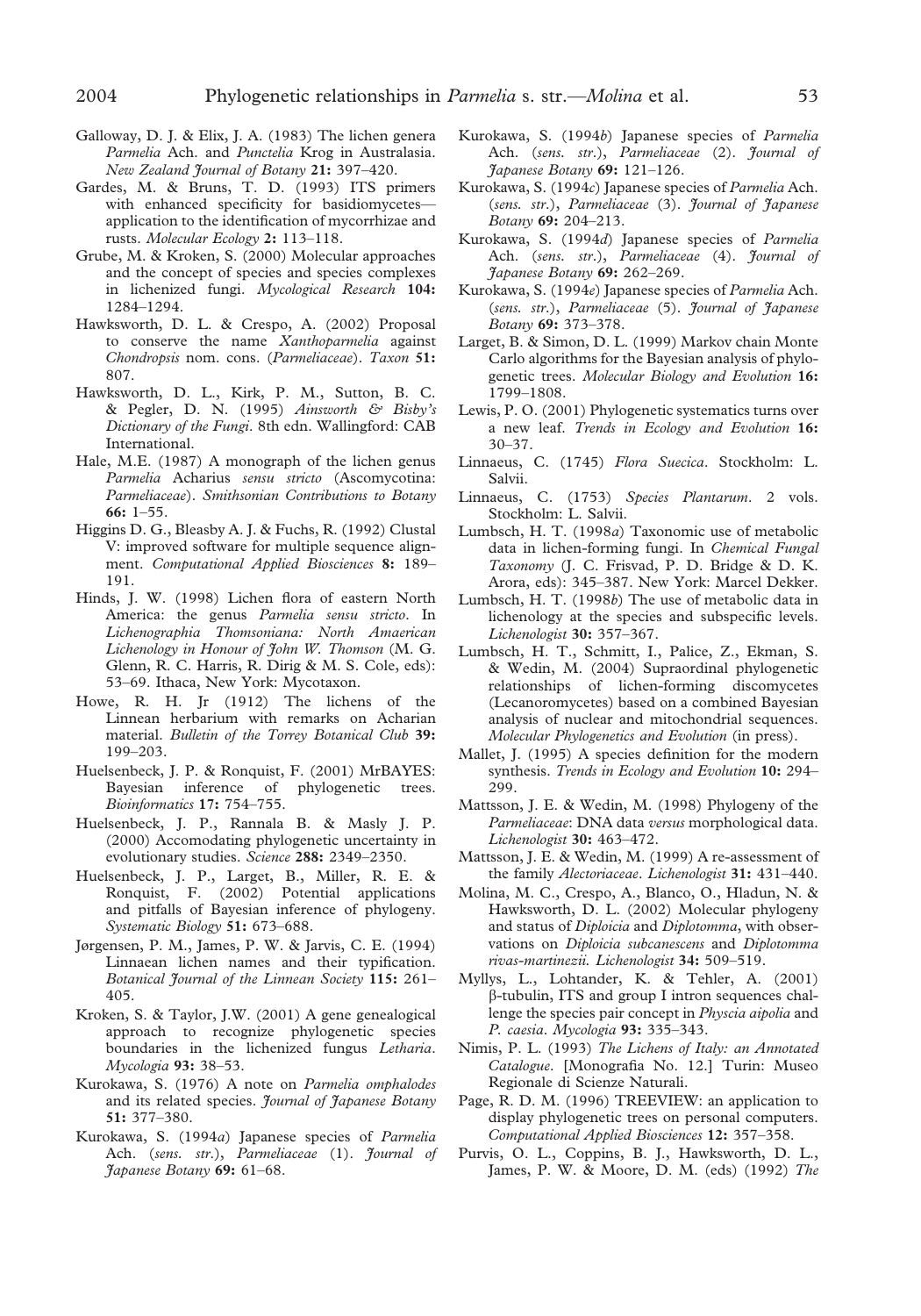- Galloway, D. J. & Elix, J. A. (1983) The lichen genera *Parmelia* Ach. and *Punctelia* Krog in Australasia. *New Zealand Journal of Botany* **21:** 397–420.
- Gardes, M. & Bruns, T. D. (1993) ITS primers with enhanced specificity for basidiomycetes application to the identification of mycorrhizae and rusts. *Molecular Ecology* **2:** 113–118.
- Grube, M. & Kroken, S. (2000) Molecular approaches and the concept of species and species complexes in lichenized fungi. *Mycological Research* **104:** 1284–1294.
- Hawksworth, D. L. & Crespo, A. (2002) Proposal to conserve the name *Xanthoparmelia* against *Chondropsis* nom. cons. (*Parmeliaceae*). *Taxon* **51:** 807.
- Hawksworth, D. L., Kirk, P. M., Sutton, B. C. & Pegler, D. N. (1995) *Ainsworth & Bisby's Dictionary of the Fungi*. 8th edn. Wallingford: CAB International.
- Hale, M.E. (1987) A monograph of the lichen genus *Parmelia* Acharius *sensu stricto* (Ascomycotina: *Parmeliaceae*). *Smithsonian Contributions to Botany* **66:** 1–55.
- Higgins D. G., Bleasby A. J. & Fuchs, R. (1992) Clustal V: improved software for multiple sequence alignment. *Computational Applied Biosciences* **8:** 189– 191.
- Hinds, J. W. (1998) Lichen flora of eastern North America: the genus *Parmelia sensu stricto*. In *Lichenographia Thomsoniana: North Amaerican Lichenology in Honour of John W. Thomson* (M. G. Glenn, R. C. Harris, R. Dirig & M. S. Cole, eds): 53–69. Ithaca, New York: Mycotaxon.
- Howe, R. H. Jr (1912) The lichens of the Linnean herbarium with remarks on Acharian material. *Bulletin of the Torrey Botanical Club* **39:** 199–203.
- Huelsenbeck, J. P. & Ronquist, F. (2001) MrBAYES: Bayesian inference of phylogenetic trees. *Bioinformatics* **17:** 754–755.
- Huelsenbeck, J. P., Rannala B. & Masly J. P. (2000) Accomodating phylogenetic uncertainty in evolutionary studies. *Science* **288:** 2349–2350.
- Huelsenbeck, J. P., Larget, B., Miller, R. E. & Ronquist, F. (2002) Potential applications and pitfalls of Bayesian inference of phylogeny. *Systematic Biology* **51:** 673–688.
- Jørgensen, P. M., James, P. W. & Jarvis, C. E. (1994) Linnaean lichen names and their typification. *Botanical Journal of the Linnean Society* **115:** 261– 405.
- Kroken, S. & Taylor, J.W. (2001) A gene genealogical approach to recognize phylogenetic species boundaries in the lichenized fungus *Letharia*. *Mycologia* **93:** 38–53.
- Kurokawa, S. (1976) A note on *Parmelia omphalodes* and its related species. *Journal of Japanese Botany* **51:** 377–380.
- Kurokawa, S. (1994*a*) Japanese species of *Parmelia* Ach. (*sens. str*.), *Parmeliaceae* (1). *Journal of Japanese Botany* **69:** 61–68.
- Kurokawa, S. (1994*b*) Japanese species of *Parmelia* Ach. (*sens. str*.), *Parmeliaceae* (2). *Journal of Japanese Botany* **69:** 121–126.
- Kurokawa, S. (1994*c*) Japanese species of *Parmelia* Ach. (*sens. str*.), *Parmeliaceae* (3). *Journal of Japanese Botany* **69:** 204–213.
- Kurokawa, S. (1994*d*) Japanese species of *Parmelia* Ach. (*sens. str*.), *Parmeliaceae* (4). *Journal of Japanese Botany* **69:** 262–269.
- Kurokawa, S. (1994*e*) Japanese species of *Parmelia* Ach. (*sens. str*.), *Parmeliaceae* (5). *Journal of Japanese Botany* **69:** 373–378.
- Larget, B. & Simon, D. L. (1999) Markov chain Monte Carlo algorithms for the Bayesian analysis of phylogenetic trees. *Molecular Biology and Evolution* **16:** 1799–1808.
- Lewis, P. O. (2001) Phylogenetic systematics turns over a new leaf. *Trends in Ecology and Evolution* **16:** 30–37.
- Linnaeus, C. (1745) *Flora Suecica*. Stockholm: L. Salvii.
- Linnaeus, C. (1753) *Species Plantarum*. 2 vols. Stockholm: L. Salvii.
- Lumbsch, H. T. (1998*a*) Taxonomic use of metabolic data in lichen-forming fungi. In *Chemical Fungal Taxonomy* (J. C. Frisvad, P. D. Bridge & D. K. Arora, eds): 345–387. New York: Marcel Dekker.
- Lumbsch, H. T. (1998*b*) The use of metabolic data in lichenology at the species and subspecific levels. *Lichenologist* **30:** 357–367.
- Lumbsch, H. T., Schmitt, I., Palice, Z., Ekman, S. & Wedin, M. (2004) Supraordinal phylogenetic relationships of lichen-forming discomycetes (Lecanoromycetes) based on a combined Bayesian analysis of nuclear and mitochondrial sequences. *Molecular Phylogenetics and Evolution* (in press).
- Mallet, J. (1995) A species definition for the modern synthesis. *Trends in Ecology and Evolution* **10:** 294– 299.
- Mattsson, J. E. & Wedin, M. (1998) Phylogeny of the *Parmeliaceae*: DNA data *versus* morphological data. *Lichenologist* **30:** 463–472.
- Mattsson, J. E. & Wedin, M. (1999) A re-assessment of the family *Alectoriaceae*. *Lichenologist* **31:** 431–440.
- Molina, M. C., Crespo, A., Blanco, O., Hladun, N. & Hawksworth, D. L. (2002) Molecular phylogeny and status of *Diploicia* and *Diplotomma*, with observations on *Diploicia subcanescens* and *Diplotomma rivas-martinezii. Lichenologist* **34:** 509–519.
- Myllys, L., Lohtander, K. & Tehler, A. (2001) -tubulin, ITS and group I intron sequences challenge the species pair concept in *Physcia aipolia* and *P. caesia*. *Mycologia* **93:** 335–343.
- Nimis, P. L. (1993) *The Lichens of Italy: an Annotated Catalogue*. [Monografia No. 12.] Turin: Museo Regionale di Scienze Naturali.
- Page, R. D. M. (1996) TREEVIEW: an application to display phylogenetic trees on personal computers. *Computational Applied Biosciences* **12:** 357–358.
- Purvis, O. L., Coppins, B. J., Hawksworth, D. L., James, P. W. & Moore, D. M. (eds) (1992) *The*